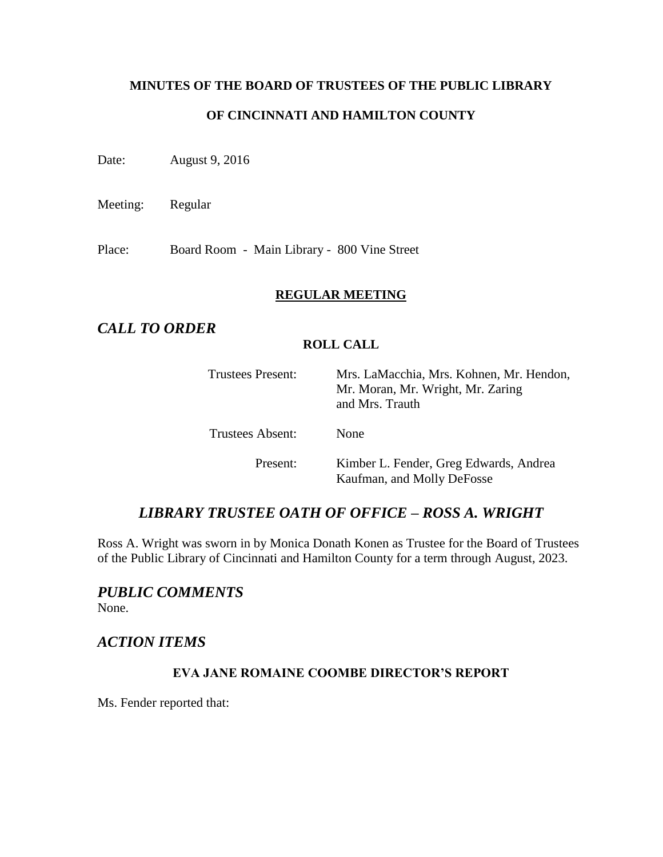# **MINUTES OF THE BOARD OF TRUSTEES OF THE PUBLIC LIBRARY OF CINCINNATI AND HAMILTON COUNTY**

Date: August 9, 2016

Meeting: Regular

Place: Board Room - Main Library - 800 Vine Street

### **REGULAR MEETING**

# *CALL TO ORDER*

### **ROLL CALL**

| <b>Trustees Present:</b> | Mrs. LaMacchia, Mrs. Kohnen, Mr. Hendon,<br>Mr. Moran, Mr. Wright, Mr. Zaring<br>and Mrs. Trauth |
|--------------------------|--------------------------------------------------------------------------------------------------|
| Trustees Absent:         | None                                                                                             |
| Present:                 | Kimber L. Fender, Greg Edwards, Andrea<br>Kaufman, and Molly DeFosse                             |

## *LIBRARY TRUSTEE OATH OF OFFICE – ROSS A. WRIGHT*

Ross A. Wright was sworn in by Monica Donath Konen as Trustee for the Board of Trustees of the Public Library of Cincinnati and Hamilton County for a term through August, 2023.

# *PUBLIC COMMENTS*

None.

# *ACTION ITEMS*

## **EVA JANE ROMAINE COOMBE DIRECTOR'S REPORT**

Ms. Fender reported that: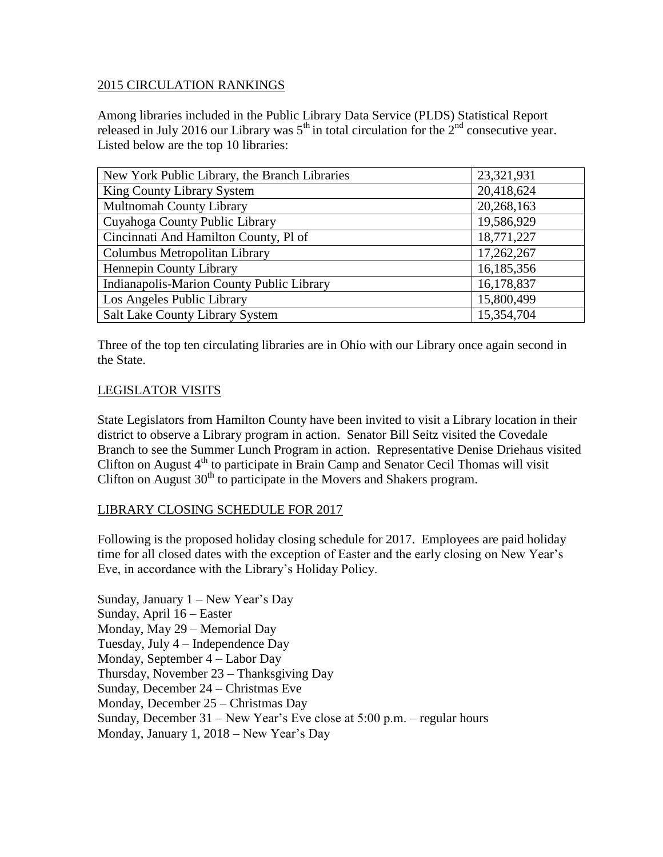### 2015 CIRCULATION RANKINGS

Among libraries included in the Public Library Data Service (PLDS) Statistical Report released in July 2016 our Library was  $5<sup>th</sup>$  in total circulation for the  $2<sup>nd</sup>$  consecutive year. Listed below are the top 10 libraries:

| New York Public Library, the Branch Libraries | 23,321,931 |
|-----------------------------------------------|------------|
| King County Library System                    | 20,418,624 |
| <b>Multnomah County Library</b>               | 20,268,163 |
| Cuyahoga County Public Library                | 19,586,929 |
| Cincinnati And Hamilton County, Pl of         | 18,771,227 |
| Columbus Metropolitan Library                 | 17,262,267 |
| Hennepin County Library                       | 16,185,356 |
| Indianapolis-Marion County Public Library     | 16,178,837 |
| Los Angeles Public Library                    | 15,800,499 |
| Salt Lake County Library System               | 15,354,704 |

Three of the top ten circulating libraries are in Ohio with our Library once again second in the State.

#### LEGISLATOR VISITS

State Legislators from Hamilton County have been invited to visit a Library location in their district to observe a Library program in action. Senator Bill Seitz visited the Covedale Branch to see the Summer Lunch Program in action. Representative Denise Driehaus visited Clifton on August  $4<sup>th</sup>$  to participate in Brain Camp and Senator Cecil Thomas will visit Clifton on August  $30<sup>th</sup>$  to participate in the Movers and Shakers program.

#### LIBRARY CLOSING SCHEDULE FOR 2017

Following is the proposed holiday closing schedule for 2017. Employees are paid holiday time for all closed dates with the exception of Easter and the early closing on New Year's Eve, in accordance with the Library's Holiday Policy.

Sunday, January 1 – New Year's Day Sunday, April 16 – Easter Monday, May 29 – Memorial Day Tuesday, July 4 – Independence Day Monday, September 4 – Labor Day Thursday, November 23 – Thanksgiving Day Sunday, December 24 – Christmas Eve Monday, December 25 – Christmas Day Sunday, December 31 – New Year's Eve close at 5:00 p.m. – regular hours Monday, January 1, 2018 – New Year's Day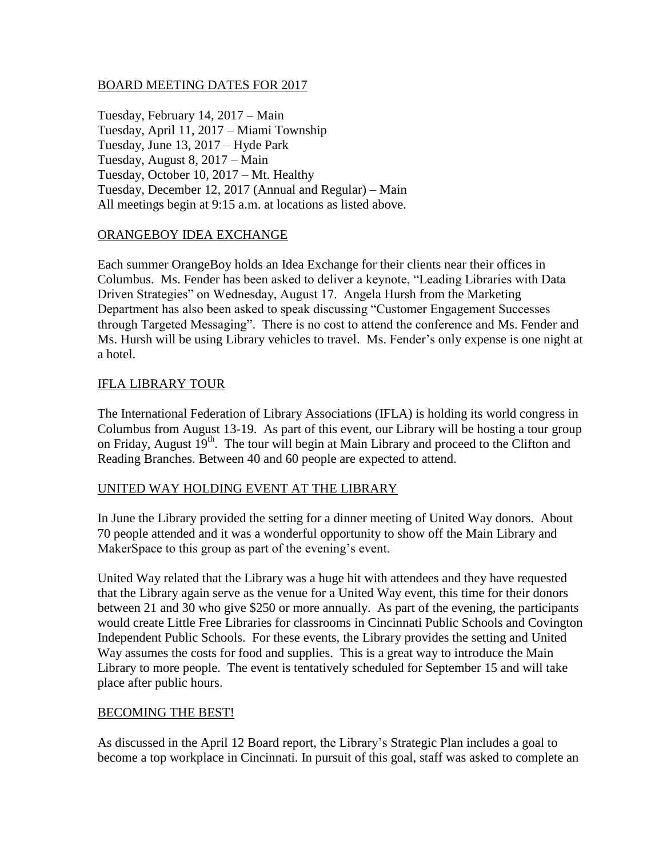#### BOARD MEETING DATES FOR 2017

Tuesday, February 14, 2017 – Main Tuesday, April 11, 2017 – Miami Township Tuesday, June 13, 2017 – Hyde Park Tuesday, August 8, 2017 – Main Tuesday, October 10, 2017 – Mt. Healthy Tuesday, December 12, 2017 (Annual and Regular) – Main All meetings begin at 9:15 a.m. at locations as listed above.

### ORANGEBOY IDEA EXCHANGE

Each summer OrangeBoy holds an Idea Exchange for their clients near their offices in Columbus. Ms. Fender has been asked to deliver a keynote, "Leading Libraries with Data Driven Strategies" on Wednesday, August 17. Angela Hursh from the Marketing Department has also been asked to speak discussing "Customer Engagement Successes through Targeted Messaging". There is no cost to attend the conference and Ms. Fender and Ms. Hursh will be using Library vehicles to travel. Ms. Fender's only expense is one night at a hotel.

## IFLA LIBRARY TOUR

The International Federation of Library Associations (IFLA) is holding its world congress in Columbus from August 13-19. As part of this event, our Library will be hosting a tour group on Friday, August 19<sup>th</sup>. The tour will begin at Main Library and proceed to the Clifton and Reading Branches. Between 40 and 60 people are expected to attend.

#### UNITED WAY HOLDING EVENT AT THE LIBRARY

In June the Library provided the setting for a dinner meeting of United Way donors. About 70 people attended and it was a wonderful opportunity to show off the Main Library and MakerSpace to this group as part of the evening's event.

United Way related that the Library was a huge hit with attendees and they have requested that the Library again serve as the venue for a United Way event, this time for their donors between 21 and 30 who give \$250 or more annually. As part of the evening, the participants would create Little Free Libraries for classrooms in Cincinnati Public Schools and Covington Independent Public Schools. For these events, the Library provides the setting and United Way assumes the costs for food and supplies. This is a great way to introduce the Main Library to more people. The event is tentatively scheduled for September 15 and will take place after public hours.

#### BECOMING THE BEST!

As discussed in the April 12 Board report, the Library's Strategic Plan includes a goal to become a top workplace in Cincinnati. In pursuit of this goal, staff was asked to complete an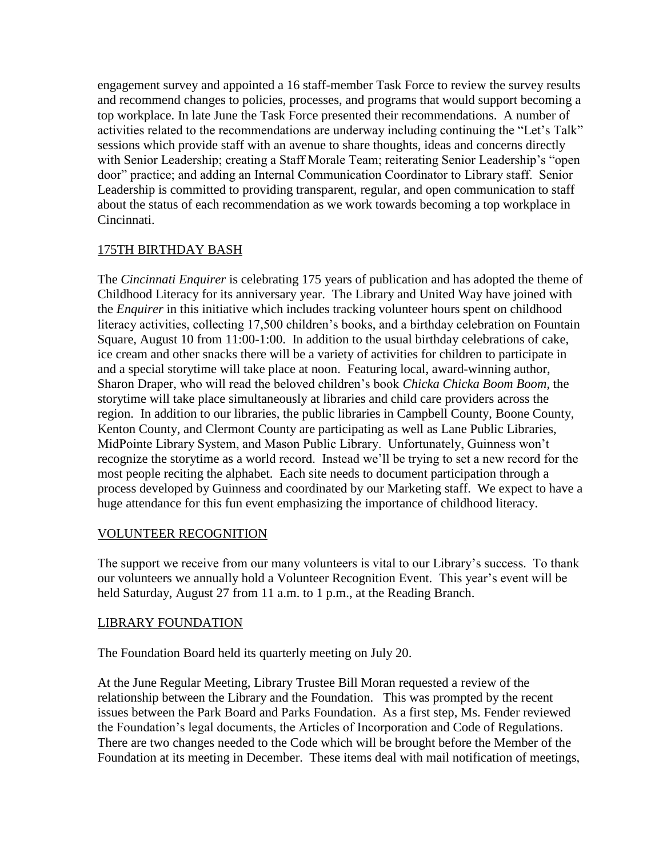engagement survey and appointed a 16 staff-member Task Force to review the survey results and recommend changes to policies, processes, and programs that would support becoming a top workplace. In late June the Task Force presented their recommendations. A number of activities related to the recommendations are underway including continuing the "Let's Talk" sessions which provide staff with an avenue to share thoughts, ideas and concerns directly with Senior Leadership; creating a Staff Morale Team; reiterating Senior Leadership's "open door" practice; and adding an Internal Communication Coordinator to Library staff. Senior Leadership is committed to providing transparent, regular, and open communication to staff about the status of each recommendation as we work towards becoming a top workplace in Cincinnati.

## 175TH BIRTHDAY BASH

The *Cincinnati Enquirer* is celebrating 175 years of publication and has adopted the theme of Childhood Literacy for its anniversary year. The Library and United Way have joined with the *Enquirer* in this initiative which includes tracking volunteer hours spent on childhood literacy activities, collecting 17,500 children's books, and a birthday celebration on Fountain Square, August 10 from 11:00-1:00. In addition to the usual birthday celebrations of cake, ice cream and other snacks there will be a variety of activities for children to participate in and a special storytime will take place at noon. Featuring local, award-winning author, Sharon Draper, who will read the beloved children's book *Chicka Chicka Boom Boom*, the storytime will take place simultaneously at libraries and child care providers across the region. In addition to our libraries, the public libraries in Campbell County, Boone County, Kenton County, and Clermont County are participating as well as Lane Public Libraries, MidPointe Library System, and Mason Public Library. Unfortunately, Guinness won't recognize the storytime as a world record. Instead we'll be trying to set a new record for the most people reciting the alphabet. Each site needs to document participation through a process developed by Guinness and coordinated by our Marketing staff. We expect to have a huge attendance for this fun event emphasizing the importance of childhood literacy.

## VOLUNTEER RECOGNITION

The support we receive from our many volunteers is vital to our Library's success. To thank our volunteers we annually hold a Volunteer Recognition Event. This year's event will be held Saturday, August 27 from 11 a.m. to 1 p.m., at the Reading Branch.

#### LIBRARY FOUNDATION

The Foundation Board held its quarterly meeting on July 20.

At the June Regular Meeting, Library Trustee Bill Moran requested a review of the relationship between the Library and the Foundation. This was prompted by the recent issues between the Park Board and Parks Foundation. As a first step, Ms. Fender reviewed the Foundation's legal documents, the Articles of Incorporation and Code of Regulations. There are two changes needed to the Code which will be brought before the Member of the Foundation at its meeting in December. These items deal with mail notification of meetings,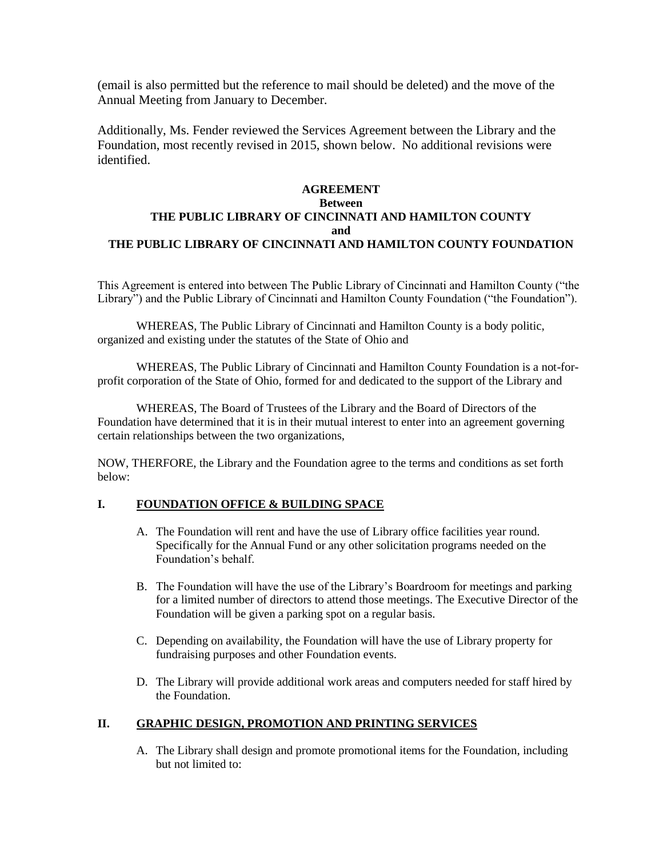(email is also permitted but the reference to mail should be deleted) and the move of the Annual Meeting from January to December.

Additionally, Ms. Fender reviewed the Services Agreement between the Library and the Foundation, most recently revised in 2015, shown below. No additional revisions were identified.

### **AGREEMENT Between THE PUBLIC LIBRARY OF CINCINNATI AND HAMILTON COUNTY and THE PUBLIC LIBRARY OF CINCINNATI AND HAMILTON COUNTY FOUNDATION**

This Agreement is entered into between The Public Library of Cincinnati and Hamilton County ("the Library") and the Public Library of Cincinnati and Hamilton County Foundation ("the Foundation").

WHEREAS, The Public Library of Cincinnati and Hamilton County is a body politic, organized and existing under the statutes of the State of Ohio and

WHEREAS, The Public Library of Cincinnati and Hamilton County Foundation is a not-forprofit corporation of the State of Ohio, formed for and dedicated to the support of the Library and

WHEREAS, The Board of Trustees of the Library and the Board of Directors of the Foundation have determined that it is in their mutual interest to enter into an agreement governing certain relationships between the two organizations,

NOW, THERFORE, the Library and the Foundation agree to the terms and conditions as set forth below:

#### **I. FOUNDATION OFFICE & BUILDING SPACE**

- A. The Foundation will rent and have the use of Library office facilities year round. Specifically for the Annual Fund or any other solicitation programs needed on the Foundation's behalf.
- B. The Foundation will have the use of the Library's Boardroom for meetings and parking for a limited number of directors to attend those meetings. The Executive Director of the Foundation will be given a parking spot on a regular basis.
- C. Depending on availability, the Foundation will have the use of Library property for fundraising purposes and other Foundation events.
- D. The Library will provide additional work areas and computers needed for staff hired by the Foundation.

#### **II. GRAPHIC DESIGN, PROMOTION AND PRINTING SERVICES**

A. The Library shall design and promote promotional items for the Foundation, including but not limited to: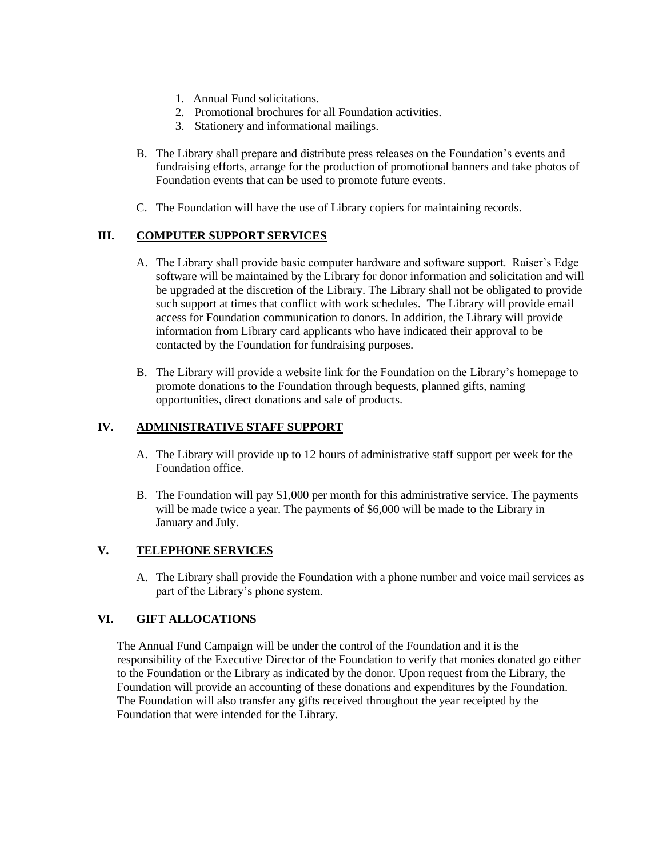- 1. Annual Fund solicitations.
- 2. Promotional brochures for all Foundation activities.
- 3. Stationery and informational mailings.
- B. The Library shall prepare and distribute press releases on the Foundation's events and fundraising efforts, arrange for the production of promotional banners and take photos of Foundation events that can be used to promote future events.
- C. The Foundation will have the use of Library copiers for maintaining records.

#### **III. COMPUTER SUPPORT SERVICES**

- A. The Library shall provide basic computer hardware and software support. Raiser's Edge software will be maintained by the Library for donor information and solicitation and will be upgraded at the discretion of the Library. The Library shall not be obligated to provide such support at times that conflict with work schedules. The Library will provide email access for Foundation communication to donors. In addition, the Library will provide information from Library card applicants who have indicated their approval to be contacted by the Foundation for fundraising purposes.
- B. The Library will provide a website link for the Foundation on the Library's homepage to promote donations to the Foundation through bequests, planned gifts, naming opportunities, direct donations and sale of products.

#### **IV. ADMINISTRATIVE STAFF SUPPORT**

- A. The Library will provide up to 12 hours of administrative staff support per week for the Foundation office.
- B. The Foundation will pay \$1,000 per month for this administrative service. The payments will be made twice a year. The payments of \$6,000 will be made to the Library in January and July.

#### **V. TELEPHONE SERVICES**

A. The Library shall provide the Foundation with a phone number and voice mail services as part of the Library's phone system.

#### **VI. GIFT ALLOCATIONS**

The Annual Fund Campaign will be under the control of the Foundation and it is the responsibility of the Executive Director of the Foundation to verify that monies donated go either to the Foundation or the Library as indicated by the donor. Upon request from the Library, the Foundation will provide an accounting of these donations and expenditures by the Foundation. The Foundation will also transfer any gifts received throughout the year receipted by the Foundation that were intended for the Library.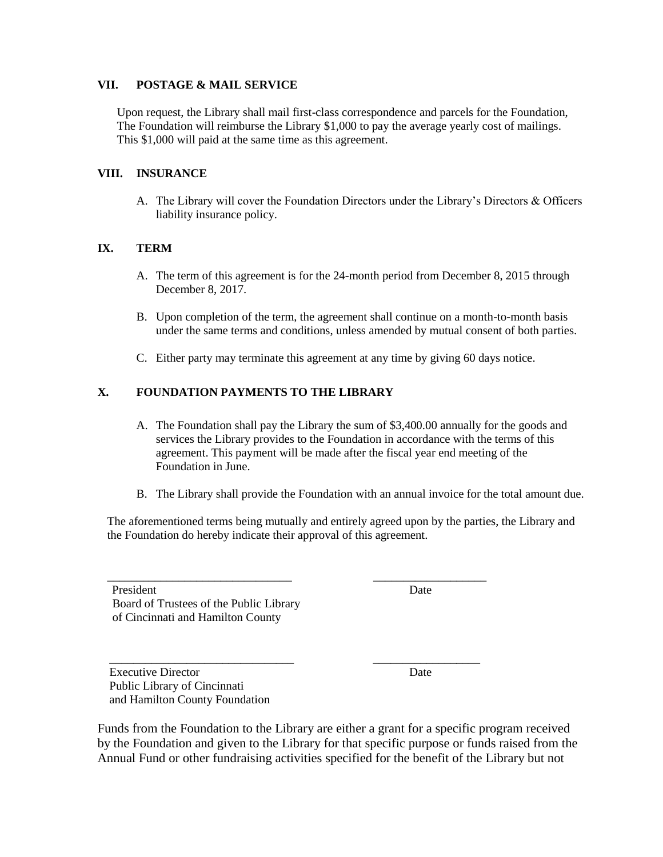#### **VII. POSTAGE & MAIL SERVICE**

Upon request, the Library shall mail first-class correspondence and parcels for the Foundation, The Foundation will reimburse the Library \$1,000 to pay the average yearly cost of mailings. This \$1,000 will paid at the same time as this agreement.

#### **VIII. INSURANCE**

A. The Library will cover the Foundation Directors under the Library's Directors & Officers liability insurance policy.

#### **IX. TERM**

- A. The term of this agreement is for the 24-month period from December 8, 2015 through December 8, 2017.
- B. Upon completion of the term, the agreement shall continue on a month-to-month basis under the same terms and conditions, unless amended by mutual consent of both parties.
- C. Either party may terminate this agreement at any time by giving 60 days notice.

#### **X. FOUNDATION PAYMENTS TO THE LIBRARY**

- A. The Foundation shall pay the Library the sum of \$3,400.00 annually for the goods and services the Library provides to the Foundation in accordance with the terms of this agreement. This payment will be made after the fiscal year end meeting of the Foundation in June.
- B. The Library shall provide the Foundation with an annual invoice for the total amount due.

The aforementioned terms being mutually and entirely agreed upon by the parties, the Library and the Foundation do hereby indicate their approval of this agreement.

\_\_\_\_\_\_\_\_\_\_\_\_\_\_\_\_\_\_\_\_\_\_\_\_\_\_\_\_\_\_\_ \_\_\_\_\_\_\_\_\_\_\_\_\_\_\_\_\_\_\_

\_\_\_\_\_\_\_\_\_\_\_\_\_\_\_\_\_\_\_\_\_\_\_\_\_\_\_\_\_\_\_ \_\_\_\_\_\_\_\_\_\_\_\_\_\_\_\_\_\_

President Date Board of Trustees of the Public Library of Cincinnati and Hamilton County

Executive Director Date Public Library of Cincinnati and Hamilton County Foundation

Funds from the Foundation to the Library are either a grant for a specific program received by the Foundation and given to the Library for that specific purpose or funds raised from the Annual Fund or other fundraising activities specified for the benefit of the Library but not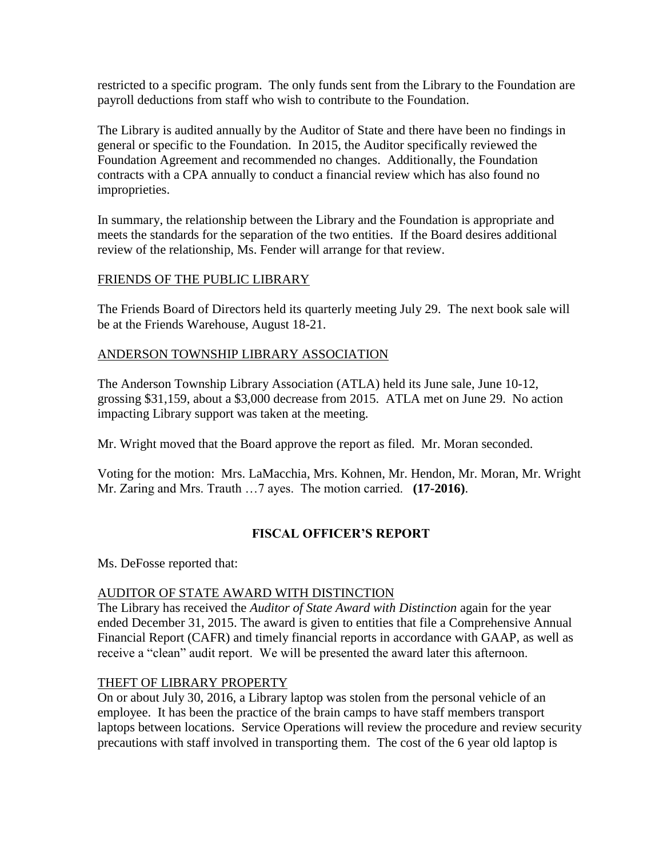restricted to a specific program. The only funds sent from the Library to the Foundation are payroll deductions from staff who wish to contribute to the Foundation.

The Library is audited annually by the Auditor of State and there have been no findings in general or specific to the Foundation. In 2015, the Auditor specifically reviewed the Foundation Agreement and recommended no changes. Additionally, the Foundation contracts with a CPA annually to conduct a financial review which has also found no improprieties.

In summary, the relationship between the Library and the Foundation is appropriate and meets the standards for the separation of the two entities. If the Board desires additional review of the relationship, Ms. Fender will arrange for that review.

## FRIENDS OF THE PUBLIC LIBRARY

The Friends Board of Directors held its quarterly meeting July 29. The next book sale will be at the Friends Warehouse, August 18-21.

## ANDERSON TOWNSHIP LIBRARY ASSOCIATION

The Anderson Township Library Association (ATLA) held its June sale, June 10-12, grossing \$31,159, about a \$3,000 decrease from 2015. ATLA met on June 29. No action impacting Library support was taken at the meeting.

Mr. Wright moved that the Board approve the report as filed. Mr. Moran seconded.

Voting for the motion: Mrs. LaMacchia, Mrs. Kohnen, Mr. Hendon, Mr. Moran, Mr. Wright Mr. Zaring and Mrs. Trauth …7 ayes. The motion carried. **(17-2016)**.

## **FISCAL OFFICER'S REPORT**

Ms. DeFosse reported that:

## AUDITOR OF STATE AWARD WITH DISTINCTION

The Library has received the *Auditor of State Award with Distinction* again for the year ended December 31, 2015. The award is given to entities that file a Comprehensive Annual Financial Report (CAFR) and timely financial reports in accordance with GAAP, as well as receive a "clean" audit report. We will be presented the award later this afternoon.

## THEFT OF LIBRARY PROPERTY

On or about July 30, 2016, a Library laptop was stolen from the personal vehicle of an employee. It has been the practice of the brain camps to have staff members transport laptops between locations. Service Operations will review the procedure and review security precautions with staff involved in transporting them. The cost of the 6 year old laptop is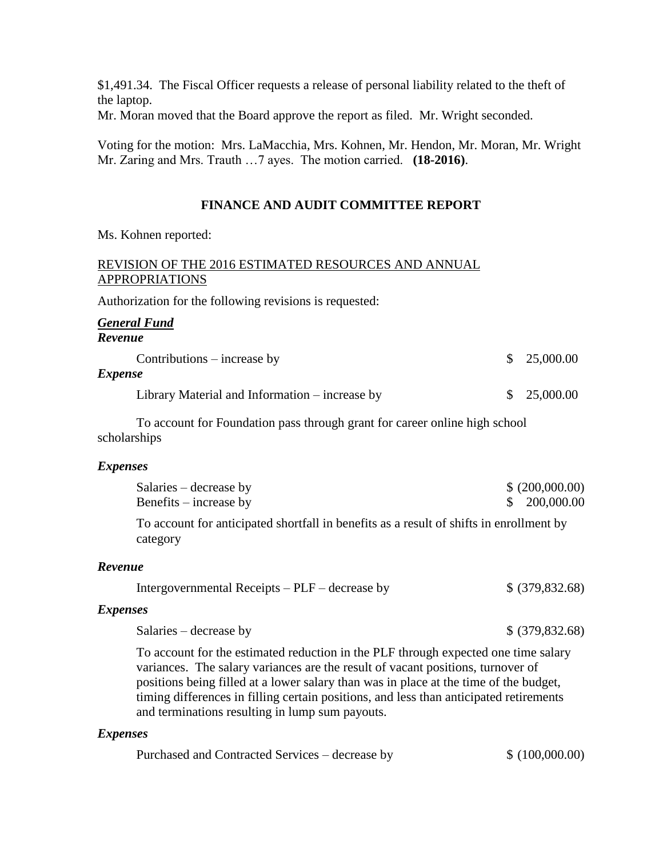\$1,491.34. The Fiscal Officer requests a release of personal liability related to the theft of the laptop.

Mr. Moran moved that the Board approve the report as filed. Mr. Wright seconded.

Voting for the motion: Mrs. LaMacchia, Mrs. Kohnen, Mr. Hendon, Mr. Moran, Mr. Wright Mr. Zaring and Mrs. Trauth …7 ayes. The motion carried. **(18-2016)**.

### **FINANCE AND AUDIT COMMITTEE REPORT**

Ms. Kohnen reported:

## REVISION OF THE 2016 ESTIMATED RESOURCES AND ANNUAL APPROPRIATIONS

Authorization for the following revisions is requested:

#### *General Fund Revenue*

 $\text{Continuous}-\text{increase by}$  \$ 25,000.00

#### *Expense*

Library Material and Information – increase by  $$ 25,000.00$ 

To account for Foundation pass through grant for career online high school scholarships

#### *Expenses*

| Salaries – decrease by                                                                              | \$ (200,000.00) |
|-----------------------------------------------------------------------------------------------------|-----------------|
| Benefits $-$ increase by                                                                            | \$ 200,000.00   |
| To account for anticipated shortfall in benefits as a result of shifts in enrollment by<br>category |                 |

#### *Revenue*

| Intergovernmental Receipts – PLF – decrease by | $$$ (379,832.68) |
|------------------------------------------------|------------------|
|------------------------------------------------|------------------|

#### *Expenses*

| Salaries – decrease by | $$$ (379,832.68) |
|------------------------|------------------|
|------------------------|------------------|

To account for the estimated reduction in the PLF through expected one time salary variances. The salary variances are the result of vacant positions, turnover of positions being filled at a lower salary than was in place at the time of the budget, timing differences in filling certain positions, and less than anticipated retirements and terminations resulting in lump sum payouts.

#### *Expenses*

| Purchased and Contracted Services – decrease by | \$ (100,000.00) |
|-------------------------------------------------|-----------------|
|-------------------------------------------------|-----------------|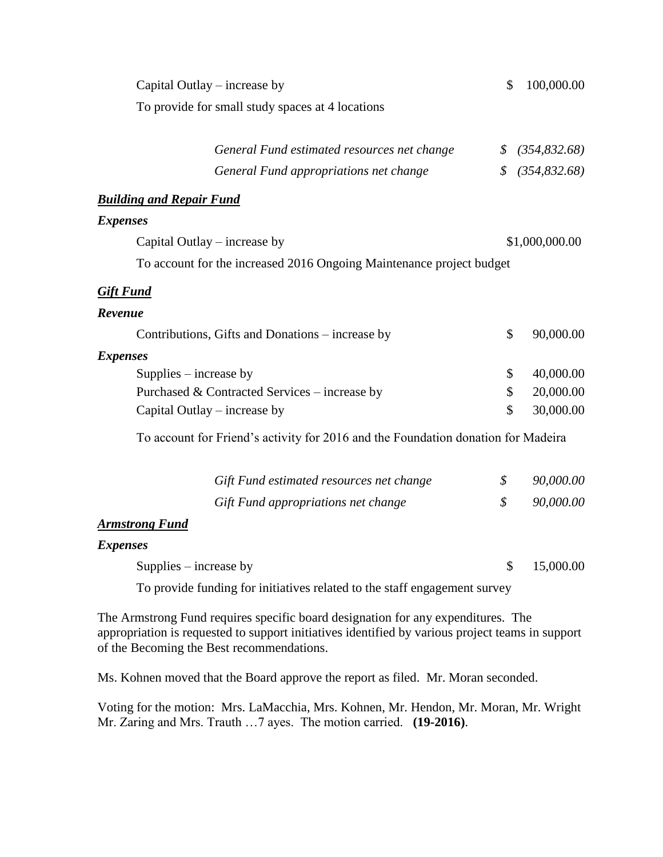| Capital Outlay – increase by                                                                                                                                                                                                      | \$ | 100,000.00     |  |
|-----------------------------------------------------------------------------------------------------------------------------------------------------------------------------------------------------------------------------------|----|----------------|--|
| To provide for small study spaces at 4 locations                                                                                                                                                                                  |    |                |  |
| General Fund estimated resources net change                                                                                                                                                                                       | \$ | (354, 832.68)  |  |
| General Fund appropriations net change                                                                                                                                                                                            | \$ | (354, 832.68)  |  |
| <b>Building and Repair Fund</b>                                                                                                                                                                                                   |    |                |  |
| <b>Expenses</b>                                                                                                                                                                                                                   |    |                |  |
| Capital Outlay – increase by                                                                                                                                                                                                      |    | \$1,000,000.00 |  |
| To account for the increased 2016 Ongoing Maintenance project budget                                                                                                                                                              |    |                |  |
| <b>Gift Fund</b>                                                                                                                                                                                                                  |    |                |  |
| Revenue                                                                                                                                                                                                                           |    |                |  |
| Contributions, Gifts and Donations – increase by                                                                                                                                                                                  | \$ | 90,000.00      |  |
| <b>Expenses</b>                                                                                                                                                                                                                   |    |                |  |
| Supplies $-$ increase by                                                                                                                                                                                                          | \$ | 40,000.00      |  |
| Purchased & Contracted Services – increase by                                                                                                                                                                                     | \$ | 20,000.00      |  |
| Capital Outlay – increase by                                                                                                                                                                                                      | \$ | 30,000.00      |  |
| To account for Friend's activity for 2016 and the Foundation donation for Madeira                                                                                                                                                 |    |                |  |
|                                                                                                                                                                                                                                   |    |                |  |
| Gift Fund estimated resources net change                                                                                                                                                                                          | \$ | 90,000.00      |  |
| Gift Fund appropriations net change                                                                                                                                                                                               | \$ | 90,000.00      |  |
| <b>Armstrong Fund</b>                                                                                                                                                                                                             |    |                |  |
| <b>Expenses</b>                                                                                                                                                                                                                   |    |                |  |
| Supplies $-$ increase by                                                                                                                                                                                                          | \$ | 15,000.00      |  |
| To provide funding for initiatives related to the staff engagement survey                                                                                                                                                         |    |                |  |
| The Armstrong Fund requires specific board designation for any expenditures. The<br>appropriation is requested to support initiatives identified by various project teams in support<br>of the Becoming the Best recommendations. |    |                |  |

Ms. Kohnen moved that the Board approve the report as filed. Mr. Moran seconded.

Voting for the motion: Mrs. LaMacchia, Mrs. Kohnen, Mr. Hendon, Mr. Moran, Mr. Wright Mr. Zaring and Mrs. Trauth …7 ayes. The motion carried. **(19-2016)**.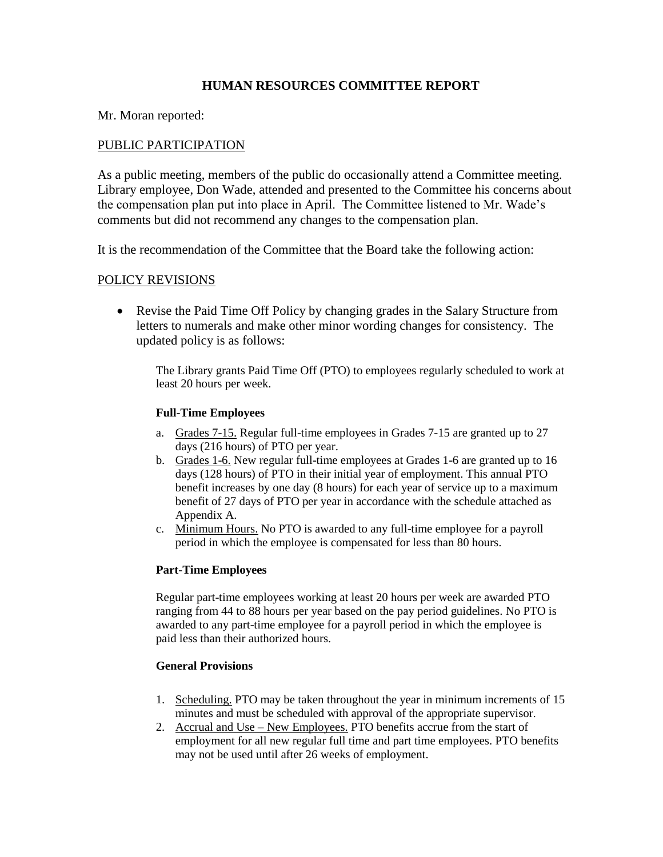### **HUMAN RESOURCES COMMITTEE REPORT**

Mr. Moran reported:

#### PUBLIC PARTICIPATION

As a public meeting, members of the public do occasionally attend a Committee meeting. Library employee, Don Wade, attended and presented to the Committee his concerns about the compensation plan put into place in April. The Committee listened to Mr. Wade's comments but did not recommend any changes to the compensation plan.

It is the recommendation of the Committee that the Board take the following action:

### POLICY REVISIONS

• Revise the Paid Time Off Policy by changing grades in the Salary Structure from letters to numerals and make other minor wording changes for consistency. The updated policy is as follows:

The Library grants Paid Time Off (PTO) to employees regularly scheduled to work at least 20 hours per week.

#### **Full-Time Employees**

- a. Grades 7-15. Regular full-time employees in Grades 7-15 are granted up to 27 days (216 hours) of PTO per year.
- b. Grades 1-6. New regular full-time employees at Grades 1-6 are granted up to 16 days (128 hours) of PTO in their initial year of employment. This annual PTO benefit increases by one day (8 hours) for each year of service up to a maximum benefit of 27 days of PTO per year in accordance with the schedule attached as Appendix A.
- c. Minimum Hours. No PTO is awarded to any full-time employee for a payroll period in which the employee is compensated for less than 80 hours.

#### **Part-Time Employees**

Regular part-time employees working at least 20 hours per week are awarded PTO ranging from 44 to 88 hours per year based on the pay period guidelines. No PTO is awarded to any part-time employee for a payroll period in which the employee is paid less than their authorized hours.

#### **General Provisions**

- 1. Scheduling. PTO may be taken throughout the year in minimum increments of 15 minutes and must be scheduled with approval of the appropriate supervisor.
- 2. Accrual and Use New Employees. PTO benefits accrue from the start of employment for all new regular full time and part time employees. PTO benefits may not be used until after 26 weeks of employment.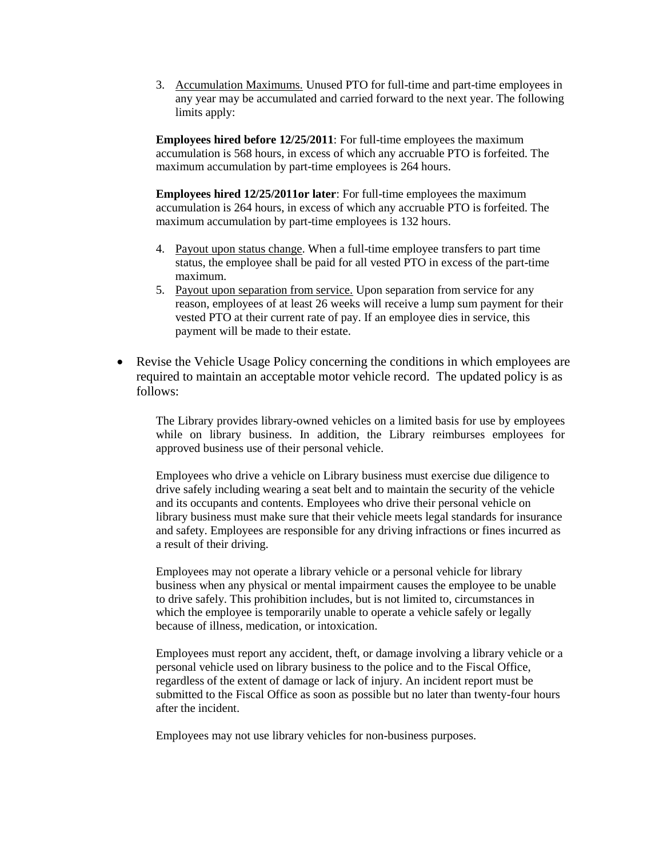3. Accumulation Maximums. Unused PTO for full-time and part-time employees in any year may be accumulated and carried forward to the next year. The following limits apply:

**Employees hired before 12/25/2011**: For full-time employees the maximum accumulation is 568 hours, in excess of which any accruable PTO is forfeited. The maximum accumulation by part-time employees is 264 hours.

**Employees hired 12/25/2011or later**: For full-time employees the maximum accumulation is 264 hours, in excess of which any accruable PTO is forfeited. The maximum accumulation by part-time employees is 132 hours.

- 4. Payout upon status change. When a full-time employee transfers to part time status, the employee shall be paid for all vested PTO in excess of the part-time maximum.
- 5. Payout upon separation from service. Upon separation from service for any reason, employees of at least 26 weeks will receive a lump sum payment for their vested PTO at their current rate of pay. If an employee dies in service, this payment will be made to their estate.
- Revise the Vehicle Usage Policy concerning the conditions in which employees are required to maintain an acceptable motor vehicle record. The updated policy is as follows:

The Library provides library-owned vehicles on a limited basis for use by employees while on library business. In addition, the Library reimburses employees for approved business use of their personal vehicle.

Employees who drive a vehicle on Library business must exercise due diligence to drive safely including wearing a seat belt and to maintain the security of the vehicle and its occupants and contents. Employees who drive their personal vehicle on library business must make sure that their vehicle meets legal standards for insurance and safety. Employees are responsible for any driving infractions or fines incurred as a result of their driving.

Employees may not operate a library vehicle or a personal vehicle for library business when any physical or mental impairment causes the employee to be unable to drive safely. This prohibition includes, but is not limited to, circumstances in which the employee is temporarily unable to operate a vehicle safely or legally because of illness, medication, or intoxication.

Employees must report any accident, theft, or damage involving a library vehicle or a personal vehicle used on library business to the police and to the Fiscal Office, regardless of the extent of damage or lack of injury. An incident report must be submitted to the Fiscal Office as soon as possible but no later than twenty-four hours after the incident.

Employees may not use library vehicles for non-business purposes.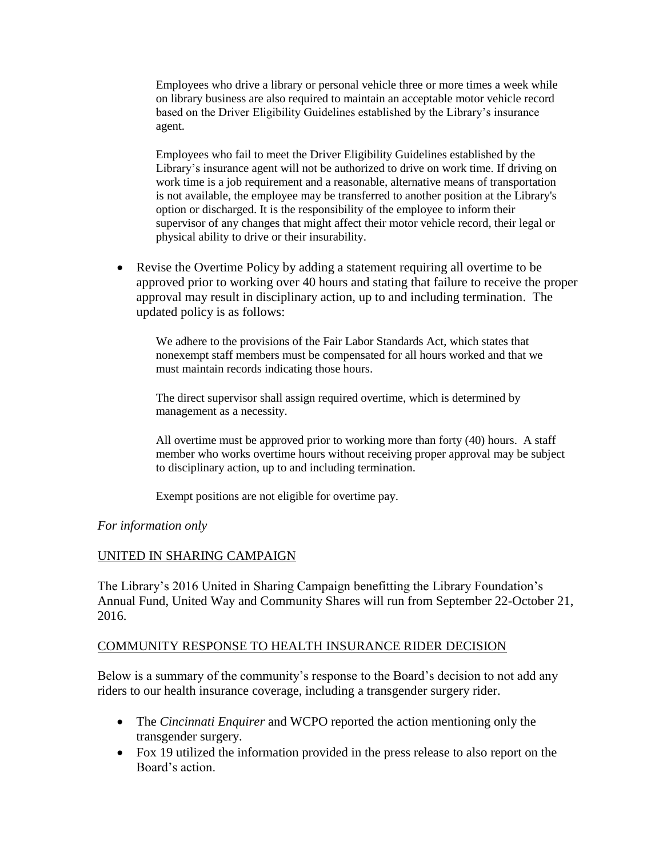Employees who drive a library or personal vehicle three or more times a week while on library business are also required to maintain an acceptable motor vehicle record based on the Driver Eligibility Guidelines established by the Library's insurance agent.

Employees who fail to meet the Driver Eligibility Guidelines established by the Library's insurance agent will not be authorized to drive on work time. If driving on work time is a job requirement and a reasonable, alternative means of transportation is not available, the employee may be transferred to another position at the Library's option or discharged. It is the responsibility of the employee to inform their supervisor of any changes that might affect their motor vehicle record, their legal or physical ability to drive or their insurability.

 Revise the Overtime Policy by adding a statement requiring all overtime to be approved prior to working over 40 hours and stating that failure to receive the proper approval may result in disciplinary action, up to and including termination. The updated policy is as follows:

We adhere to the provisions of the Fair Labor Standards Act, which states that nonexempt staff members must be compensated for all hours worked and that we must maintain records indicating those hours.

The direct supervisor shall assign required overtime, which is determined by management as a necessity.

All overtime must be approved prior to working more than forty (40) hours. A staff member who works overtime hours without receiving proper approval may be subject to disciplinary action, up to and including termination.

Exempt positions are not eligible for overtime pay.

#### *For information only*

#### UNITED IN SHARING CAMPAIGN

The Library's 2016 United in Sharing Campaign benefitting the Library Foundation's Annual Fund, United Way and Community Shares will run from September 22-October 21, 2016.

#### COMMUNITY RESPONSE TO HEALTH INSURANCE RIDER DECISION

Below is a summary of the community's response to the Board's decision to not add any riders to our health insurance coverage, including a transgender surgery rider.

- The *Cincinnati Enquirer* and WCPO reported the action mentioning only the transgender surgery.
- Fox 19 utilized the information provided in the press release to also report on the Board's action.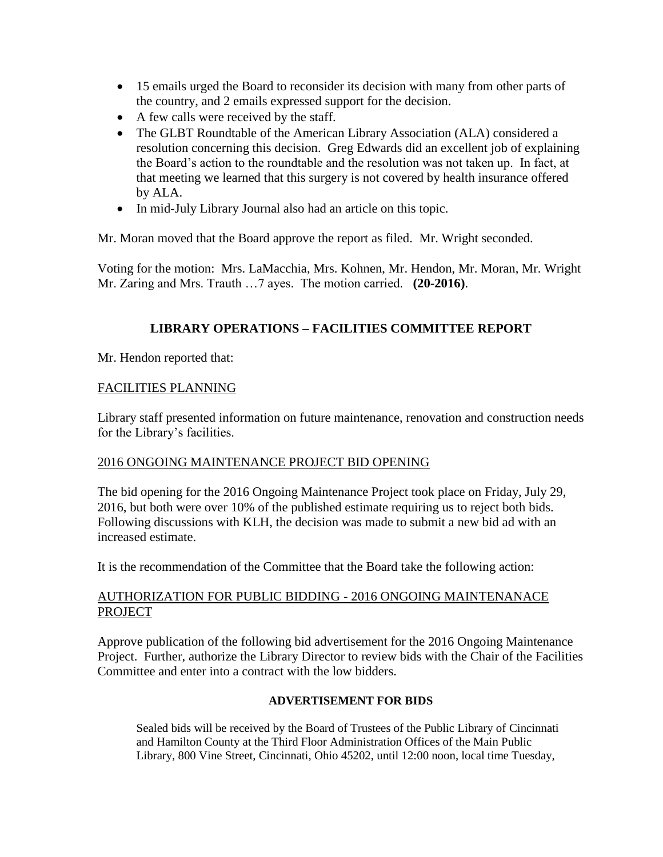- 15 emails urged the Board to reconsider its decision with many from other parts of the country, and 2 emails expressed support for the decision.
- A few calls were received by the staff.
- The GLBT Roundtable of the American Library Association (ALA) considered a resolution concerning this decision. Greg Edwards did an excellent job of explaining the Board's action to the roundtable and the resolution was not taken up. In fact, at that meeting we learned that this surgery is not covered by health insurance offered by ALA.
- In mid-July Library Journal also had an article on this topic.

Mr. Moran moved that the Board approve the report as filed. Mr. Wright seconded.

Voting for the motion: Mrs. LaMacchia, Mrs. Kohnen, Mr. Hendon, Mr. Moran, Mr. Wright Mr. Zaring and Mrs. Trauth …7 ayes. The motion carried. **(20-2016)**.

### **LIBRARY OPERATIONS – FACILITIES COMMITTEE REPORT**

Mr. Hendon reported that:

#### FACILITIES PLANNING

Library staff presented information on future maintenance, renovation and construction needs for the Library's facilities.

#### 2016 ONGOING MAINTENANCE PROJECT BID OPENING

The bid opening for the 2016 Ongoing Maintenance Project took place on Friday, July 29, 2016, but both were over 10% of the published estimate requiring us to reject both bids. Following discussions with KLH, the decision was made to submit a new bid ad with an increased estimate.

It is the recommendation of the Committee that the Board take the following action:

#### AUTHORIZATION FOR PUBLIC BIDDING - 2016 ONGOING MAINTENANACE PROJECT

Approve publication of the following bid advertisement for the 2016 Ongoing Maintenance Project. Further, authorize the Library Director to review bids with the Chair of the Facilities Committee and enter into a contract with the low bidders.

#### **ADVERTISEMENT FOR BIDS**

Sealed bids will be received by the Board of Trustees of the Public Library of Cincinnati and Hamilton County at the Third Floor Administration Offices of the Main Public Library, 800 Vine Street, Cincinnati, Ohio 45202, until 12:00 noon, local time Tuesday,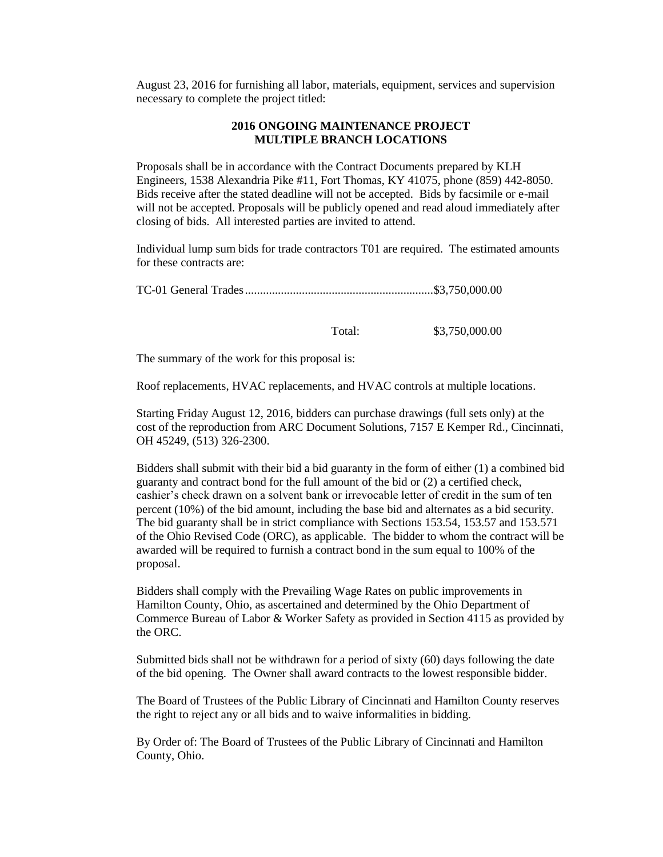August 23, 2016 for furnishing all labor, materials, equipment, services and supervision necessary to complete the project titled:

#### **2016 ONGOING MAINTENANCE PROJECT MULTIPLE BRANCH LOCATIONS**

Proposals shall be in accordance with the Contract Documents prepared by KLH Engineers, 1538 Alexandria Pike #11, Fort Thomas, KY 41075, phone (859) 442-8050. Bids receive after the stated deadline will not be accepted. Bids by facsimile or e-mail will not be accepted. Proposals will be publicly opened and read aloud immediately after closing of bids. All interested parties are invited to attend.

Individual lump sum bids for trade contractors T01 are required. The estimated amounts for these contracts are:

TC-01 General Trades...............................................................\$3,750,000.00

Total: \$3,750,000.00

The summary of the work for this proposal is:

Roof replacements, HVAC replacements, and HVAC controls at multiple locations.

Starting Friday August 12, 2016, bidders can purchase drawings (full sets only) at the cost of the reproduction from ARC Document Solutions, 7157 E Kemper Rd., Cincinnati, OH 45249, (513) 326-2300.

Bidders shall submit with their bid a bid guaranty in the form of either (1) a combined bid guaranty and contract bond for the full amount of the bid or (2) a certified check, cashier's check drawn on a solvent bank or irrevocable letter of credit in the sum of ten percent (10%) of the bid amount, including the base bid and alternates as a bid security. The bid guaranty shall be in strict compliance with Sections 153.54, 153.57 and 153.571 of the Ohio Revised Code (ORC), as applicable. The bidder to whom the contract will be awarded will be required to furnish a contract bond in the sum equal to 100% of the proposal.

Bidders shall comply with the Prevailing Wage Rates on public improvements in Hamilton County, Ohio, as ascertained and determined by the Ohio Department of Commerce Bureau of Labor & Worker Safety as provided in Section 4115 as provided by the ORC.

Submitted bids shall not be withdrawn for a period of sixty (60) days following the date of the bid opening. The Owner shall award contracts to the lowest responsible bidder.

The Board of Trustees of the Public Library of Cincinnati and Hamilton County reserves the right to reject any or all bids and to waive informalities in bidding.

By Order of: The Board of Trustees of the Public Library of Cincinnati and Hamilton County, Ohio.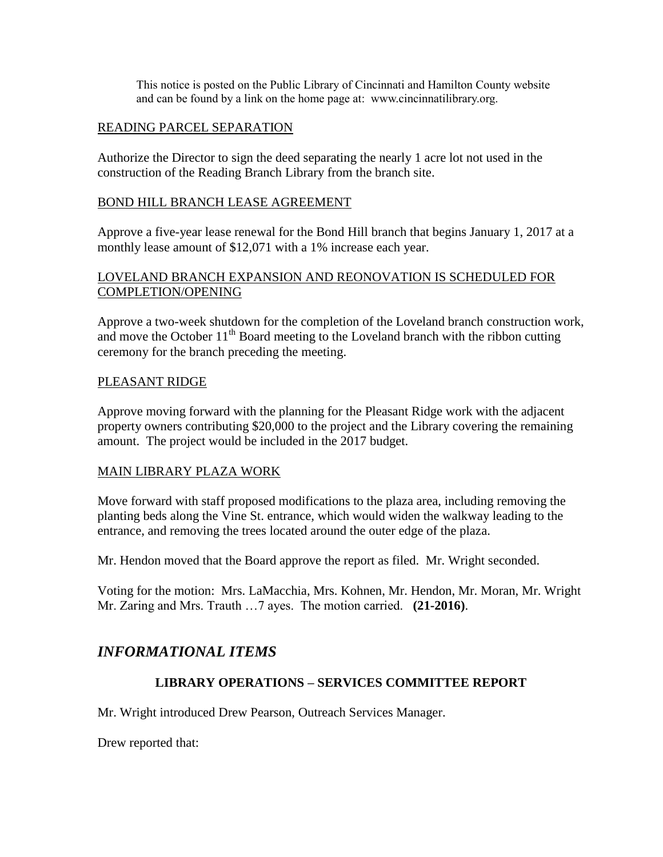This notice is posted on the Public Library of Cincinnati and Hamilton County website and can be found by a link on the home page at: www.cincinnatilibrary.org.

## READING PARCEL SEPARATION

Authorize the Director to sign the deed separating the nearly 1 acre lot not used in the construction of the Reading Branch Library from the branch site.

#### BOND HILL BRANCH LEASE AGREEMENT

Approve a five-year lease renewal for the Bond Hill branch that begins January 1, 2017 at a monthly lease amount of \$12,071 with a 1% increase each year.

### LOVELAND BRANCH EXPANSION AND REONOVATION IS SCHEDULED FOR COMPLETION/OPENING

Approve a two-week shutdown for the completion of the Loveland branch construction work, and move the October 11<sup>th</sup> Board meeting to the Loveland branch with the ribbon cutting ceremony for the branch preceding the meeting.

### PLEASANT RIDGE

Approve moving forward with the planning for the Pleasant Ridge work with the adjacent property owners contributing \$20,000 to the project and the Library covering the remaining amount. The project would be included in the 2017 budget.

#### MAIN LIBRARY PLAZA WORK

Move forward with staff proposed modifications to the plaza area, including removing the planting beds along the Vine St. entrance, which would widen the walkway leading to the entrance, and removing the trees located around the outer edge of the plaza.

Mr. Hendon moved that the Board approve the report as filed. Mr. Wright seconded.

Voting for the motion: Mrs. LaMacchia, Mrs. Kohnen, Mr. Hendon, Mr. Moran, Mr. Wright Mr. Zaring and Mrs. Trauth …7 ayes. The motion carried. **(21-2016)**.

# *INFORMATIONAL ITEMS*

## **LIBRARY OPERATIONS – SERVICES COMMITTEE REPORT**

Mr. Wright introduced Drew Pearson, Outreach Services Manager.

Drew reported that: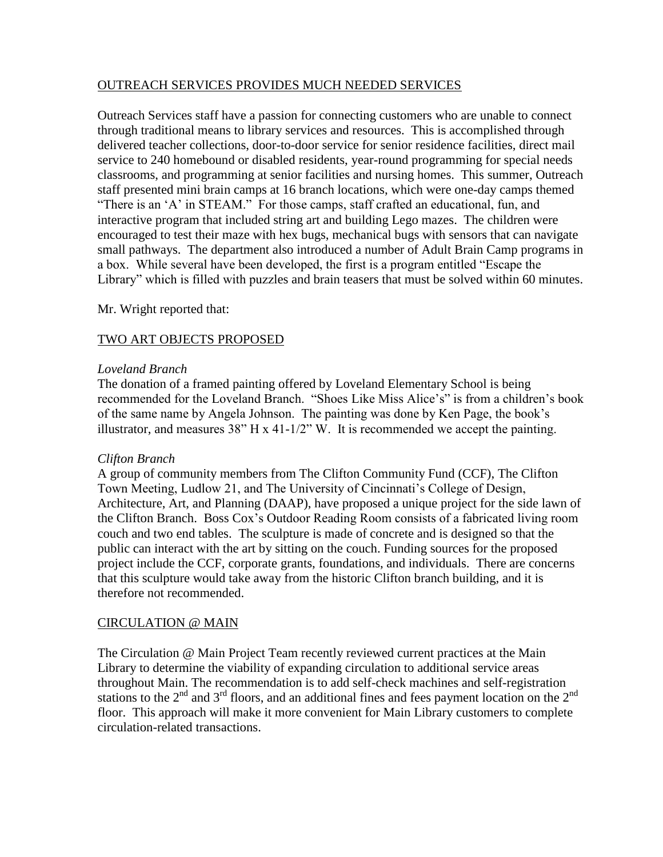### OUTREACH SERVICES PROVIDES MUCH NEEDED SERVICES

Outreach Services staff have a passion for connecting customers who are unable to connect through traditional means to library services and resources. This is accomplished through delivered teacher collections, door-to-door service for senior residence facilities, direct mail service to 240 homebound or disabled residents, year-round programming for special needs classrooms, and programming at senior facilities and nursing homes. This summer, Outreach staff presented mini brain camps at 16 branch locations, which were one-day camps themed "There is an 'A' in STEAM." For those camps, staff crafted an educational, fun, and interactive program that included string art and building Lego mazes. The children were encouraged to test their maze with hex bugs, mechanical bugs with sensors that can navigate small pathways. The department also introduced a number of Adult Brain Camp programs in a box. While several have been developed, the first is a program entitled "Escape the Library" which is filled with puzzles and brain teasers that must be solved within 60 minutes.

### Mr. Wright reported that:

## TWO ART OBJECTS PROPOSED

### *Loveland Branch*

The donation of a framed painting offered by Loveland Elementary School is being recommended for the Loveland Branch. "Shoes Like Miss Alice's" is from a children's book of the same name by Angela Johnson. The painting was done by Ken Page, the book's illustrator, and measures  $38"$  H x 41-1/2" W. It is recommended we accept the painting.

#### *Clifton Branch*

A group of community members from The Clifton Community Fund (CCF), The Clifton Town Meeting, Ludlow 21, and The University of Cincinnati's College of Design, Architecture, Art, and Planning (DAAP), have proposed a unique project for the side lawn of the Clifton Branch. Boss Cox's Outdoor Reading Room consists of a fabricated living room couch and two end tables. The sculpture is made of concrete and is designed so that the public can interact with the art by sitting on the couch. Funding sources for the proposed project include the CCF, corporate grants, foundations, and individuals. There are concerns that this sculpture would take away from the historic Clifton branch building, and it is therefore not recommended.

#### CIRCULATION @ MAIN

The Circulation @ Main Project Team recently reviewed current practices at the Main Library to determine the viability of expanding circulation to additional service areas throughout Main. The recommendation is to add self-check machines and self-registration stations to the  $2<sup>nd</sup>$  and  $3<sup>rd</sup>$  floors, and an additional fines and fees payment location on the  $2<sup>nd</sup>$ floor. This approach will make it more convenient for Main Library customers to complete circulation-related transactions.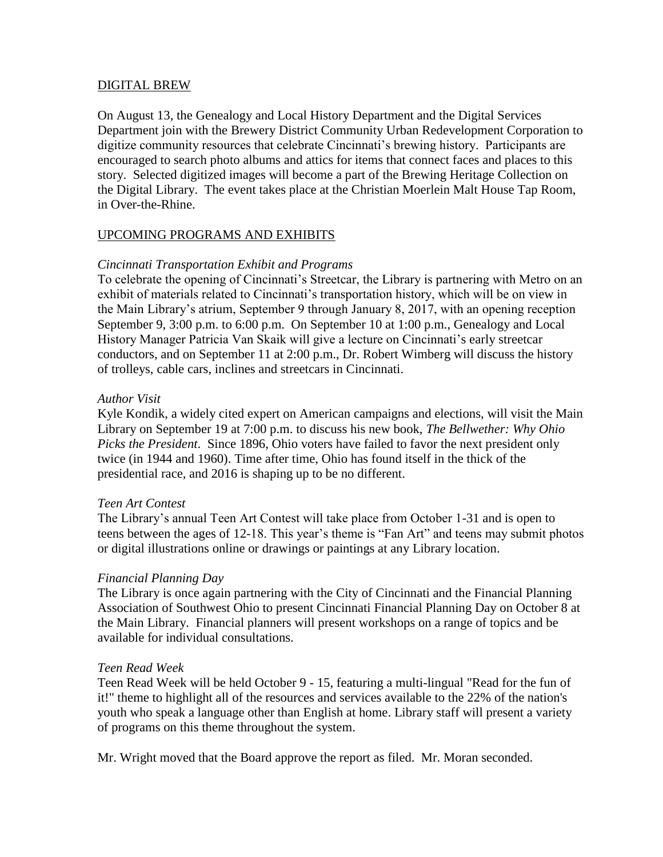#### DIGITAL BREW

On August 13, the Genealogy and Local History Department and the Digital Services Department join with the Brewery District Community Urban Redevelopment Corporation to digitize community resources that celebrate Cincinnati's brewing history. Participants are encouraged to search photo albums and attics for items that connect faces and places to this story. Selected digitized images will become a part of the Brewing Heritage Collection on the Digital Library. The event takes place at the Christian Moerlein Malt House Tap Room, in Over-the-Rhine.

### UPCOMING PROGRAMS AND EXHIBITS

### *Cincinnati Transportation Exhibit and Programs*

To celebrate the opening of Cincinnati's Streetcar, the Library is partnering with Metro on an exhibit of materials related to Cincinnati's transportation history, which will be on view in the Main Library's atrium, September 9 through January 8, 2017, with an opening reception September 9, 3:00 p.m. to 6:00 p.m. On September 10 at 1:00 p.m., Genealogy and Local History Manager Patricia Van Skaik will give a lecture on Cincinnati's early streetcar conductors, and on September 11 at 2:00 p.m., Dr. Robert Wimberg will discuss the history of trolleys, cable cars, inclines and streetcars in Cincinnati.

#### *Author Visit*

Kyle Kondik, a widely cited expert on American campaigns and elections, will visit the Main Library on September 19 at 7:00 p.m. to discuss his new book, *The Bellwether: Why Ohio Picks the President*. Since 1896, Ohio voters have failed to favor the next president only twice (in 1944 and 1960). Time after time, Ohio has found itself in the thick of the presidential race, and 2016 is shaping up to be no different.

#### *Teen Art Contest*

The Library's annual Teen Art Contest will take place from October 1-31 and is open to teens between the ages of 12-18. This year's theme is "Fan Art" and teens may submit photos or digital illustrations online or drawings or paintings at any Library location.

#### *Financial Planning Day*

The Library is once again partnering with the City of Cincinnati and the Financial Planning Association of Southwest Ohio to present Cincinnati Financial Planning Day on October 8 at the Main Library. Financial planners will present workshops on a range of topics and be available for individual consultations.

#### *Teen Read Week*

Teen Read Week will be held October 9 - 15, featuring a multi-lingual "Read for the fun of it!" theme to highlight all of the resources and services available to the 22% of the nation's youth who speak a language other than English at home. Library staff will present a variety of programs on this theme throughout the system.

Mr. Wright moved that the Board approve the report as filed. Mr. Moran seconded.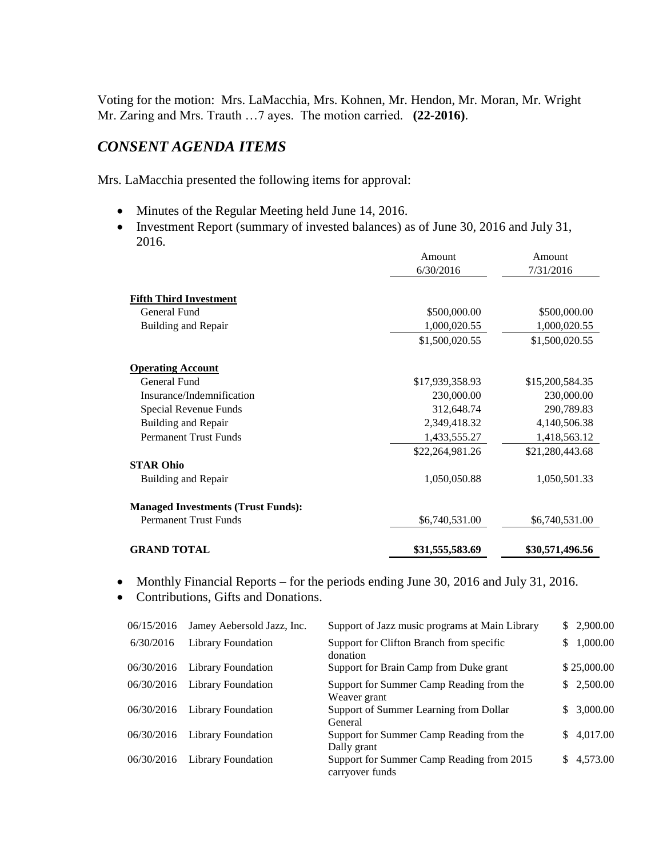Voting for the motion: Mrs. LaMacchia, Mrs. Kohnen, Mr. Hendon, Mr. Moran, Mr. Wright Mr. Zaring and Mrs. Trauth …7 ayes. The motion carried. **(22-2016)**.

## *CONSENT AGENDA ITEMS*

Mrs. LaMacchia presented the following items for approval:

- Minutes of the Regular Meeting held June 14, 2016.
- Investment Report (summary of invested balances) as of June 30, 2016 and July 31, 2016.

|                                           | Amount          | Amount          |
|-------------------------------------------|-----------------|-----------------|
|                                           | 6/30/2016       | 7/31/2016       |
| <b>Fifth Third Investment</b>             |                 |                 |
| General Fund                              | \$500,000.00    | \$500,000.00    |
| Building and Repair                       | 1,000,020.55    | 1,000,020.55    |
|                                           | \$1,500,020.55  | \$1,500,020.55  |
| <b>Operating Account</b>                  |                 |                 |
| General Fund                              | \$17,939,358.93 | \$15,200,584.35 |
| Insurance/Indemnification                 | 230,000.00      | 230,000.00      |
| Special Revenue Funds                     | 312,648.74      | 290,789.83      |
| <b>Building and Repair</b>                | 2,349,418.32    | 4,140,506.38    |
| <b>Permanent Trust Funds</b>              | 1,433,555.27    | 1,418,563.12    |
|                                           | \$22,264,981.26 | \$21,280,443.68 |
| <b>STAR Ohio</b>                          |                 |                 |
| Building and Repair                       | 1,050,050.88    | 1,050,501.33    |
| <b>Managed Investments (Trust Funds):</b> |                 |                 |
| <b>Permanent Trust Funds</b>              | \$6,740,531.00  | \$6,740,531.00  |
| <b>GRAND TOTAL</b>                        | \$31,555,583.69 | \$30,571,496.56 |

• Monthly Financial Reports – for the periods ending June 30, 2016 and July 31, 2016.

• Contributions, Gifts and Donations.

| 06/15/2016 | Jamey Aebersold Jazz, Inc. | Support of Jazz music programs at Main Library               |     | \$2,900.00  |
|------------|----------------------------|--------------------------------------------------------------|-----|-------------|
| 6/30/2016  | Library Foundation         | Support for Clifton Branch from specific<br>donation         | S.  | 1,000.00    |
| 06/30/2016 | Library Foundation         | Support for Brain Camp from Duke grant                       |     | \$25,000.00 |
| 06/30/2016 | Library Foundation         | Support for Summer Camp Reading from the<br>Weaver grant     |     | \$2,500.00  |
| 06/30/2016 | <b>Library Foundation</b>  | Support of Summer Learning from Dollar<br>General            | SS. | 3,000.00    |
| 06/30/2016 | <b>Library Foundation</b>  | Support for Summer Camp Reading from the<br>Dally grant      |     | \$4,017.00  |
| 06/30/2016 | Library Foundation         | Support for Summer Camp Reading from 2015<br>carryover funds |     | \$4,573.00  |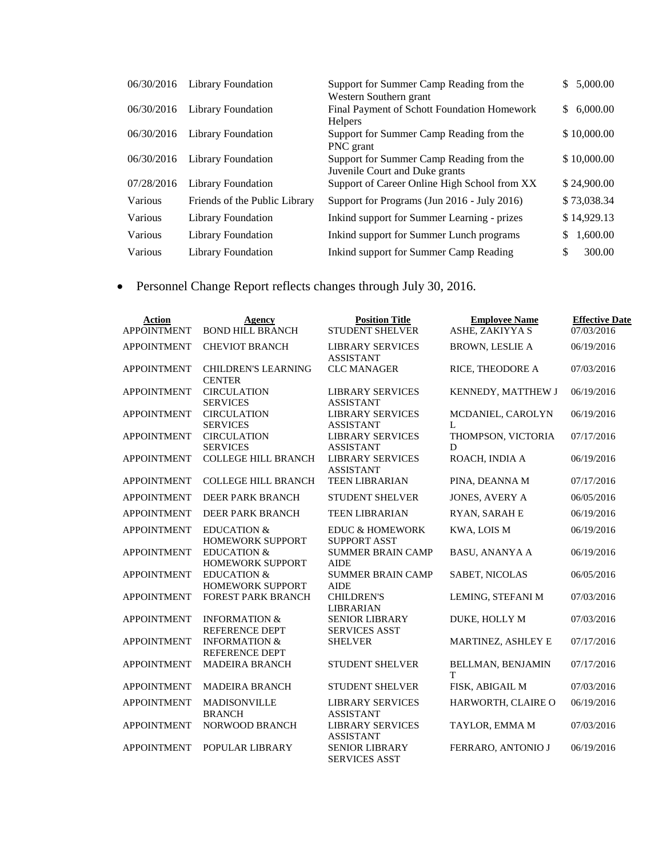| 06/30/2016 | Library Foundation            | Support for Summer Camp Reading from the                                   | 5,000.00<br>S. |
|------------|-------------------------------|----------------------------------------------------------------------------|----------------|
| 06/30/2016 | Library Foundation            | Western Southern grant<br>Final Payment of Schott Foundation Homework      | \$6,000.00     |
|            |                               | <b>Helpers</b>                                                             |                |
| 06/30/2016 | Library Foundation            | Support for Summer Camp Reading from the<br>PNC grant                      | \$10,000.00    |
| 06/30/2016 | Library Foundation            | Support for Summer Camp Reading from the<br>Juvenile Court and Duke grants | \$10,000.00    |
| 07/28/2016 | <b>Library Foundation</b>     | Support of Career Online High School from XX                               | \$24,900.00    |
| Various    | Friends of the Public Library | Support for Programs (Jun 2016 - July 2016)                                | \$73,038.34    |
| Various    | <b>Library Foundation</b>     | Inkind support for Summer Learning - prizes                                | \$14,929.13    |
| Various    | <b>Library Foundation</b>     | Inkind support for Summer Lunch programs                                   | 1,600.00<br>S  |
| Various    | Library Foundation            | Inkind support for Summer Camp Reading                                     | 300.00<br>S    |

Personnel Change Report reflects changes through July 30, 2016.

| <b>Action</b>      | Agency                                            | <b>Position Title</b>                             | <b>Employee Name</b>          | <b>Effective Date</b> |
|--------------------|---------------------------------------------------|---------------------------------------------------|-------------------------------|-----------------------|
| <b>APPOINTMENT</b> | <b>BOND HILL BRANCH</b>                           | <b>STUDENT SHELVER</b>                            | ASHE, ZAKIYYA S               | 07/03/2016            |
| <b>APPOINTMENT</b> | <b>CHEVIOT BRANCH</b>                             | <b>LIBRARY SERVICES</b><br><b>ASSISTANT</b>       | <b>BROWN, LESLIE A</b>        | 06/19/2016            |
| <b>APPOINTMENT</b> | <b>CHILDREN'S LEARNING</b><br><b>CENTER</b>       | <b>CLC MANAGER</b>                                | RICE, THEODORE A              | 07/03/2016            |
| <b>APPOINTMENT</b> | <b>CIRCULATION</b><br><b>SERVICES</b>             | <b>LIBRARY SERVICES</b><br><b>ASSISTANT</b>       | KENNEDY, MATTHEW J            | 06/19/2016            |
| <b>APPOINTMENT</b> | <b>CIRCULATION</b><br><b>SERVICES</b>             | <b>LIBRARY SERVICES</b><br><b>ASSISTANT</b>       | MCDANIEL, CAROLYN<br>L        | 06/19/2016            |
| <b>APPOINTMENT</b> | <b>CIRCULATION</b><br><b>SERVICES</b>             | <b>LIBRARY SERVICES</b><br><b>ASSISTANT</b>       | THOMPSON, VICTORIA<br>D       | 07/17/2016            |
| <b>APPOINTMENT</b> | <b>COLLEGE HILL BRANCH</b>                        | <b>LIBRARY SERVICES</b><br><b>ASSISTANT</b>       | ROACH, INDIA A                | 06/19/2016            |
| <b>APPOINTMENT</b> | <b>COLLEGE HILL BRANCH</b>                        | <b>TEEN LIBRARIAN</b>                             | PINA, DEANNA M                | 07/17/2016            |
| <b>APPOINTMENT</b> | DEER PARK BRANCH                                  | <b>STUDENT SHELVER</b>                            | <b>JONES, AVERY A</b>         | 06/05/2016            |
| <b>APPOINTMENT</b> | DEER PARK BRANCH                                  | <b>TEEN LIBRARIAN</b>                             | <b>RYAN, SARAH E</b>          | 06/19/2016            |
| <b>APPOINTMENT</b> | <b>EDUCATION &amp;</b><br><b>HOMEWORK SUPPORT</b> | <b>EDUC &amp; HOMEWORK</b><br><b>SUPPORT ASST</b> | KWA, LOIS M                   | 06/19/2016            |
| <b>APPOINTMENT</b> | <b>EDUCATION &amp;</b><br><b>HOMEWORK SUPPORT</b> | <b>SUMMER BRAIN CAMP</b><br><b>AIDE</b>           | <b>BASU, ANANYA A</b>         | 06/19/2016            |
| <b>APPOINTMENT</b> | <b>EDUCATION &amp;</b><br><b>HOMEWORK SUPPORT</b> | <b>SUMMER BRAIN CAMP</b><br><b>AIDE</b>           | <b>SABET, NICOLAS</b>         | 06/05/2016            |
| <b>APPOINTMENT</b> | FOREST PARK BRANCH                                | <b>CHILDREN'S</b><br><b>LIBRARIAN</b>             | LEMING, STEFANI M             | 07/03/2016            |
| <b>APPOINTMENT</b> | <b>INFORMATION &amp;</b><br>REFERENCE DEPT        | <b>SENIOR LIBRARY</b><br><b>SERVICES ASST</b>     | DUKE, HOLLY M                 | 07/03/2016            |
| <b>APPOINTMENT</b> | <b>INFORMATION &amp;</b><br><b>REFERENCE DEPT</b> | <b>SHELVER</b>                                    | MARTINEZ, ASHLEY E            | 07/17/2016            |
| <b>APPOINTMENT</b> | <b>MADEIRA BRANCH</b>                             | <b>STUDENT SHELVER</b>                            | <b>BELLMAN, BENJAMIN</b><br>T | 07/17/2016            |
| <b>APPOINTMENT</b> | <b>MADEIRA BRANCH</b>                             | STUDENT SHELVER                                   | FISK, ABIGAIL M               | 07/03/2016            |
| <b>APPOINTMENT</b> | MADISONVILLE<br><b>BRANCH</b>                     | <b>LIBRARY SERVICES</b><br><b>ASSISTANT</b>       | HARWORTH, CLAIRE O            | 06/19/2016            |
| <b>APPOINTMENT</b> | <b>NORWOOD BRANCH</b>                             | <b>LIBRARY SERVICES</b><br><b>ASSISTANT</b>       | TAYLOR, EMMA M                | 07/03/2016            |
| <b>APPOINTMENT</b> | POPULAR LIBRARY                                   | <b>SENIOR LIBRARY</b><br><b>SERVICES ASST</b>     | FERRARO, ANTONIO J            | 06/19/2016            |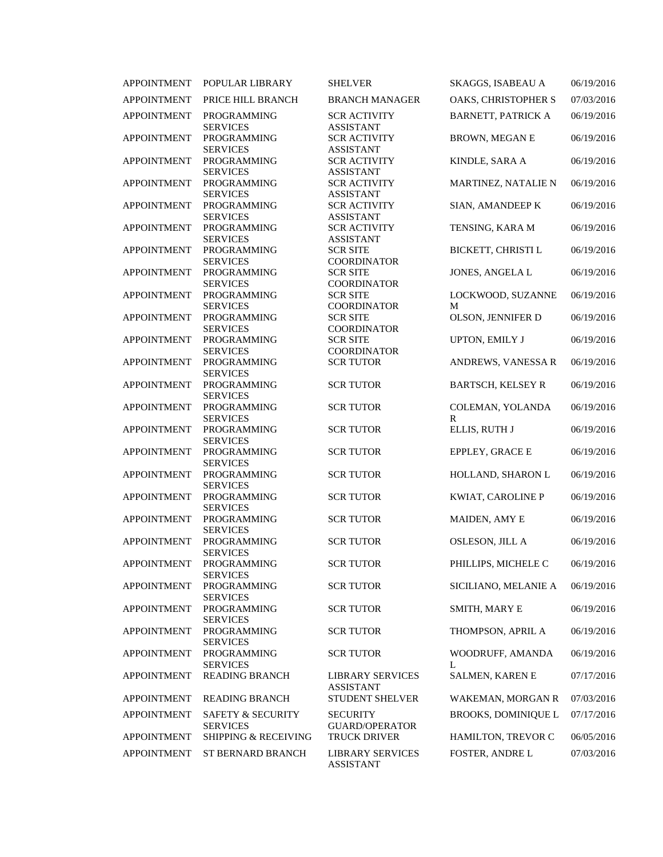| <b>APPOINTMENT</b> | POPULAR LIBRARY                                 | <b>SHELVER</b>                              | SKAGGS, ISABEAU A          | 06/19/2016 |
|--------------------|-------------------------------------------------|---------------------------------------------|----------------------------|------------|
| <b>APPOINTMENT</b> | PRICE HILL BRANCH                               | <b>BRANCH MANAGER</b>                       | OAKS, CHRISTOPHER S        | 07/03/2016 |
| <b>APPOINTMENT</b> | PROGRAMMING<br><b>SERVICES</b>                  | <b>SCR ACTIVITY</b><br><b>ASSISTANT</b>     | <b>BARNETT, PATRICK A</b>  | 06/19/2016 |
| <b>APPOINTMENT</b> | PROGRAMMING<br><b>SERVICES</b>                  | <b>SCR ACTIVITY</b><br><b>ASSISTANT</b>     | <b>BROWN, MEGAN E</b>      | 06/19/2016 |
| <b>APPOINTMENT</b> | <b>PROGRAMMING</b><br><b>SERVICES</b>           | <b>SCR ACTIVITY</b><br><b>ASSISTANT</b>     | KINDLE, SARA A             | 06/19/2016 |
| <b>APPOINTMENT</b> | <b>PROGRAMMING</b><br><b>SERVICES</b>           | <b>SCR ACTIVITY</b><br><b>ASSISTANT</b>     | MARTINEZ, NATALIE N        | 06/19/2016 |
| <b>APPOINTMENT</b> | <b>PROGRAMMING</b><br><b>SERVICES</b>           | <b>SCR ACTIVITY</b><br><b>ASSISTANT</b>     | SIAN, AMANDEEP K           | 06/19/2016 |
| <b>APPOINTMENT</b> | <b>PROGRAMMING</b><br><b>SERVICES</b>           | <b>SCR ACTIVITY</b><br><b>ASSISTANT</b>     | TENSING, KARA M            | 06/19/2016 |
| <b>APPOINTMENT</b> | PROGRAMMING<br><b>SERVICES</b>                  | <b>SCR SITE</b><br><b>COORDINATOR</b>       | BICKETT, CHRISTI L         | 06/19/2016 |
| <b>APPOINTMENT</b> | <b>PROGRAMMING</b><br><b>SERVICES</b>           | <b>SCR SITE</b><br><b>COORDINATOR</b>       | JONES, ANGELA L            | 06/19/2016 |
| <b>APPOINTMENT</b> | PROGRAMMING<br><b>SERVICES</b>                  | <b>SCR SITE</b><br><b>COORDINATOR</b>       | LOCKWOOD, SUZANNE<br>M     | 06/19/2016 |
| <b>APPOINTMENT</b> | PROGRAMMING<br><b>SERVICES</b>                  | <b>SCR SITE</b><br><b>COORDINATOR</b>       | OLSON, JENNIFER D          | 06/19/2016 |
| <b>APPOINTMENT</b> | PROGRAMMING<br><b>SERVICES</b>                  | <b>SCR SITE</b><br><b>COORDINATOR</b>       | UPTON, EMILY J             | 06/19/2016 |
| <b>APPOINTMENT</b> | <b>PROGRAMMING</b><br><b>SERVICES</b>           | <b>SCR TUTOR</b>                            | ANDREWS, VANESSA R         | 06/19/2016 |
| <b>APPOINTMENT</b> | PROGRAMMING<br><b>SERVICES</b>                  | <b>SCR TUTOR</b>                            | <b>BARTSCH, KELSEY R</b>   | 06/19/2016 |
| <b>APPOINTMENT</b> | <b>PROGRAMMING</b><br><b>SERVICES</b>           | <b>SCR TUTOR</b>                            | COLEMAN, YOLANDA<br>R      | 06/19/2016 |
| <b>APPOINTMENT</b> | <b>PROGRAMMING</b><br><b>SERVICES</b>           | <b>SCR TUTOR</b>                            | ELLIS, RUTH J              | 06/19/2016 |
| <b>APPOINTMENT</b> | <b>PROGRAMMING</b><br><b>SERVICES</b>           | <b>SCR TUTOR</b>                            | EPPLEY, GRACE E            | 06/19/2016 |
| <b>APPOINTMENT</b> | PROGRAMMING<br><b>SERVICES</b>                  | <b>SCR TUTOR</b>                            | HOLLAND, SHARON L          | 06/19/2016 |
| <b>APPOINTMENT</b> | PROGRAMMING<br><b>SERVICES</b>                  | <b>SCR TUTOR</b>                            | KWIAT, CAROLINE P          | 06/19/2016 |
| <b>APPOINTMENT</b> | <b>PROGRAMMING</b><br><b>SERVICES</b>           | <b>SCR TUTOR</b>                            | MAIDEN, AMY E              | 06/19/2016 |
| <b>APPOINTMENT</b> | <b>PROGRAMMING</b><br><b>SERVICES</b>           | <b>SCR TUTOR</b>                            | OSLESON, JILL A            | 06/19/2016 |
| APPOINTMENT        | PROGRAMMING<br><b>SERVICES</b>                  | <b>SCR TUTOR</b>                            | PHILLIPS, MICHELE C        | 06/19/2016 |
| <b>APPOINTMENT</b> | <b>PROGRAMMING</b><br><b>SERVICES</b>           | <b>SCR TUTOR</b>                            | SICILIANO, MELANIE A       | 06/19/2016 |
| <b>APPOINTMENT</b> | PROGRAMMING<br><b>SERVICES</b>                  | <b>SCR TUTOR</b>                            | SMITH, MARY E              | 06/19/2016 |
| <b>APPOINTMENT</b> | PROGRAMMING<br><b>SERVICES</b>                  | <b>SCR TUTOR</b>                            | THOMPSON, APRIL A          | 06/19/2016 |
| <b>APPOINTMENT</b> | PROGRAMMING<br><b>SERVICES</b>                  | <b>SCR TUTOR</b>                            | WOODRUFF, AMANDA<br>L      | 06/19/2016 |
| <b>APPOINTMENT</b> | <b>READING BRANCH</b>                           | <b>LIBRARY SERVICES</b><br><b>ASSISTANT</b> | SALMEN, KAREN E            | 07/17/2016 |
| <b>APPOINTMENT</b> | <b>READING BRANCH</b>                           | <b>STUDENT SHELVER</b>                      | WAKEMAN, MORGAN R          | 07/03/2016 |
| <b>APPOINTMENT</b> | <b>SAFETY &amp; SECURITY</b><br><b>SERVICES</b> | <b>SECURITY</b><br><b>GUARD/OPERATOR</b>    | <b>BROOKS, DOMINIQUE L</b> | 07/17/2016 |
| <b>APPOINTMENT</b> | <b>SHIPPING &amp; RECEIVING</b>                 | <b>TRUCK DRIVER</b>                         | HAMILTON, TREVOR C         | 06/05/2016 |
| <b>APPOINTMENT</b> | ST BERNARD BRANCH                               | <b>LIBRARY SERVICES</b><br><b>ASSISTANT</b> | FOSTER, ANDRE L            | 07/03/2016 |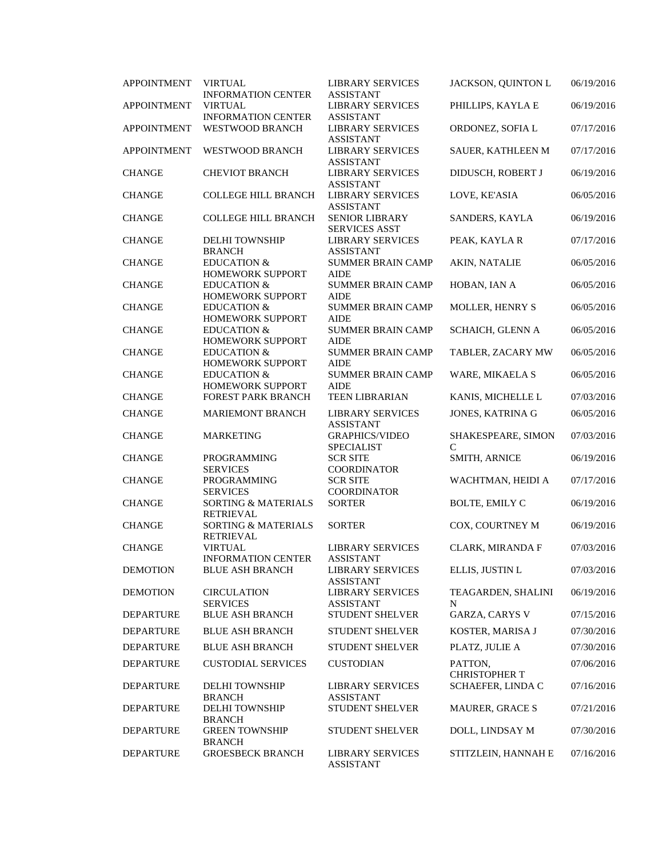| <b>APPOINTMENT</b> | <b>VIRTUAL</b>                                      | <b>LIBRARY SERVICES</b>                                         | JACKSON, QUINTON L                | 06/19/2016 |
|--------------------|-----------------------------------------------------|-----------------------------------------------------------------|-----------------------------------|------------|
|                    | <b>INFORMATION CENTER</b>                           | <b>ASSISTANT</b>                                                |                                   |            |
| <b>APPOINTMENT</b> | <b>VIRTUAL</b><br><b>INFORMATION CENTER</b>         | <b>LIBRARY SERVICES</b><br><b>ASSISTANT</b>                     | PHILLIPS, KAYLA E                 | 06/19/2016 |
| <b>APPOINTMENT</b> | <b>WESTWOOD BRANCH</b>                              | <b>LIBRARY SERVICES</b>                                         | ORDONEZ, SOFIA L                  | 07/17/2016 |
|                    |                                                     | <b>ASSISTANT</b>                                                |                                   |            |
| <b>APPOINTMENT</b> | WESTWOOD BRANCH                                     | <b>LIBRARY SERVICES</b><br><b>ASSISTANT</b>                     | SAUER, KATHLEEN M                 | 07/17/2016 |
| <b>CHANGE</b>      | <b>CHEVIOT BRANCH</b>                               | <b>LIBRARY SERVICES</b><br><b>ASSISTANT</b>                     | DIDUSCH, ROBERT J                 | 06/19/2016 |
| <b>CHANGE</b>      | <b>COLLEGE HILL BRANCH</b>                          | <b>LIBRARY SERVICES</b><br><b>ASSISTANT</b>                     | LOVE, KE'ASIA                     | 06/05/2016 |
| <b>CHANGE</b>      | <b>COLLEGE HILL BRANCH</b>                          | <b>SENIOR LIBRARY</b><br><b>SERVICES ASST</b>                   | SANDERS, KAYLA                    | 06/19/2016 |
| <b>CHANGE</b>      | <b>DELHI TOWNSHIP</b><br><b>BRANCH</b>              | <b>LIBRARY SERVICES</b><br><b>ASSISTANT</b>                     | PEAK, KAYLA R                     | 07/17/2016 |
| <b>CHANGE</b>      | <b>EDUCATION &amp;</b><br>HOMEWORK SUPPORT          | <b>SUMMER BRAIN CAMP</b><br><b>AIDE</b>                         | AKIN, NATALIE                     | 06/05/2016 |
| <b>CHANGE</b>      | <b>EDUCATION &amp;</b><br>HOMEWORK SUPPORT          | <b>SUMMER BRAIN CAMP</b><br><b>AIDE</b>                         | HOBAN, IAN A                      | 06/05/2016 |
| <b>CHANGE</b>      | <b>EDUCATION &amp;</b><br>HOMEWORK SUPPORT          | <b>SUMMER BRAIN CAMP</b><br><b>AIDE</b>                         | MOLLER, HENRY S                   | 06/05/2016 |
| <b>CHANGE</b>      | <b>EDUCATION &amp;</b><br><b>HOMEWORK SUPPORT</b>   | <b>SUMMER BRAIN CAMP</b><br><b>AIDE</b>                         | SCHAICH, GLENN A                  | 06/05/2016 |
| <b>CHANGE</b>      | <b>EDUCATION &amp;</b><br><b>HOMEWORK SUPPORT</b>   | <b>SUMMER BRAIN CAMP</b><br><b>AIDE</b>                         | TABLER, ZACARY MW                 | 06/05/2016 |
| <b>CHANGE</b>      | <b>EDUCATION &amp;</b><br>HOMEWORK SUPPORT          | <b>SUMMER BRAIN CAMP</b><br><b>AIDE</b>                         | WARE, MIKAELA S                   | 06/05/2016 |
| <b>CHANGE</b>      | <b>FOREST PARK BRANCH</b>                           | <b>TEEN LIBRARIAN</b>                                           | KANIS, MICHELLE L                 | 07/03/2016 |
| <b>CHANGE</b>      | MARIEMONT BRANCH                                    | <b>LIBRARY SERVICES</b><br><b>ASSISTANT</b>                     | JONES, KATRINA G                  | 06/05/2016 |
| <b>CHANGE</b>      | <b>MARKETING</b>                                    | <b>GRAPHICS/VIDEO</b><br><b>SPECIALIST</b>                      | SHAKESPEARE, SIMON<br>$\mathbf C$ | 07/03/2016 |
| <b>CHANGE</b>      | <b>PROGRAMMING</b>                                  | <b>SCR SITE</b>                                                 | SMITH, ARNICE                     | 06/19/2016 |
| <b>CHANGE</b>      | <b>SERVICES</b><br>PROGRAMMING                      | <b>COORDINATOR</b><br><b>SCR SITE</b>                           | WACHTMAN, HEIDI A                 | 07/17/2016 |
| <b>CHANGE</b>      | <b>SERVICES</b><br>SORTING & MATERIALS              | <b>COORDINATOR</b><br><b>SORTER</b>                             | <b>BOLTE, EMILY C</b>             | 06/19/2016 |
| <b>CHANGE</b>      | <b>RETRIEVAL</b><br>SORTING & MATERIALS             | <b>SORTER</b>                                                   | COX, COURTNEY M                   | 06/19/2016 |
| <b>CHANGE</b>      | <b>RETRIEVAL</b><br><b>VIRTUAL</b>                  | <b>LIBRARY SERVICES</b>                                         | CLARK, MIRANDA F                  | 07/03/2016 |
| <b>DEMOTION</b>    | <b>INFORMATION CENTER</b><br><b>BLUE ASH BRANCH</b> | <b>ASSISTANT</b><br><b>LIBRARY SERVICES</b>                     | ELLIS, JUSTIN L                   | 07/03/2016 |
| <b>DEMOTION</b>    | <b>CIRCULATION</b><br><b>SERVICES</b>               | <b>ASSISTANT</b><br><b>LIBRARY SERVICES</b><br><b>ASSISTANT</b> | TEAGARDEN, SHALINI<br>N           | 06/19/2016 |
| <b>DEPARTURE</b>   | <b>BLUE ASH BRANCH</b>                              | STUDENT SHELVER                                                 | GARZA, CARYS V                    | 07/15/2016 |
| <b>DEPARTURE</b>   | <b>BLUE ASH BRANCH</b>                              | STUDENT SHELVER                                                 | KOSTER, MARISA J                  | 07/30/2016 |
| <b>DEPARTURE</b>   | <b>BLUE ASH BRANCH</b>                              | STUDENT SHELVER                                                 | PLATZ, JULIE A                    | 07/30/2016 |
| <b>DEPARTURE</b>   | <b>CUSTODIAL SERVICES</b>                           | <b>CUSTODIAN</b>                                                | PATTON,                           | 07/06/2016 |
|                    |                                                     |                                                                 | <b>CHRISTOPHER T</b>              |            |
| <b>DEPARTURE</b>   | DELHI TOWNSHIP<br><b>BRANCH</b>                     | <b>LIBRARY SERVICES</b><br><b>ASSISTANT</b>                     | SCHAEFER, LINDA C                 | 07/16/2016 |
| <b>DEPARTURE</b>   | <b>DELHI TOWNSHIP</b><br><b>BRANCH</b>              | STUDENT SHELVER                                                 | <b>MAURER, GRACE S</b>            | 07/21/2016 |
| <b>DEPARTURE</b>   | <b>GREEN TOWNSHIP</b><br><b>BRANCH</b>              | STUDENT SHELVER                                                 | DOLL, LINDSAY M                   | 07/30/2016 |
| <b>DEPARTURE</b>   | <b>GROESBECK BRANCH</b>                             | <b>LIBRARY SERVICES</b><br><b>ASSISTANT</b>                     | STITZLEIN, HANNAH E               | 07/16/2016 |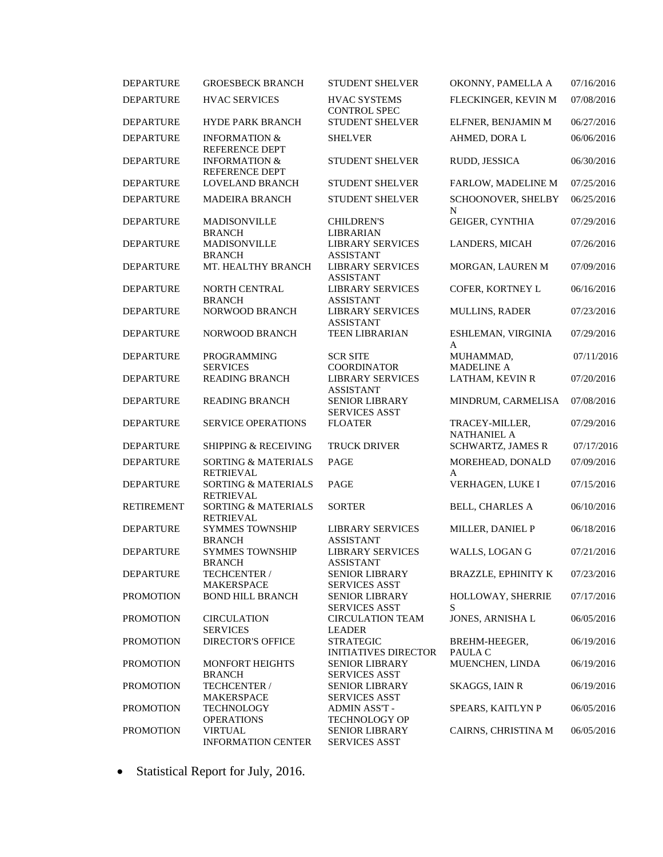| <b>DEPARTURE</b>  | <b>GROESBECK BRANCH</b>                           | <b>STUDENT SHELVER</b>                          | OKONNY, PAMELLA A                    | 07/16/2016 |
|-------------------|---------------------------------------------------|-------------------------------------------------|--------------------------------------|------------|
| <b>DEPARTURE</b>  | <b>HVAC SERVICES</b>                              | <b>HVAC SYSTEMS</b><br><b>CONTROL SPEC</b>      | FLECKINGER, KEVIN M                  | 07/08/2016 |
| <b>DEPARTURE</b>  | <b>HYDE PARK BRANCH</b>                           | STUDENT SHELVER                                 | ELFNER, BENJAMIN M                   | 06/27/2016 |
| <b>DEPARTURE</b>  | <b>INFORMATION &amp;</b><br><b>REFERENCE DEPT</b> | <b>SHELVER</b>                                  | AHMED, DORA L                        | 06/06/2016 |
| <b>DEPARTURE</b>  | <b>INFORMATION &amp;</b><br>REFERENCE DEPT        | <b>STUDENT SHELVER</b>                          | RUDD, JESSICA                        | 06/30/2016 |
| <b>DEPARTURE</b>  | <b>LOVELAND BRANCH</b>                            | <b>STUDENT SHELVER</b>                          | FARLOW, MADELINE M                   | 07/25/2016 |
| <b>DEPARTURE</b>  | <b>MADEIRA BRANCH</b>                             | <b>STUDENT SHELVER</b>                          | SCHOONOVER, SHELBY<br>N              | 06/25/2016 |
| <b>DEPARTURE</b>  | <b>MADISONVILLE</b><br><b>BRANCH</b>              | <b>CHILDREN'S</b><br><b>LIBRARIAN</b>           | GEIGER, CYNTHIA                      | 07/29/2016 |
| <b>DEPARTURE</b>  | <b>MADISONVILLE</b><br><b>BRANCH</b>              | <b>LIBRARY SERVICES</b><br><b>ASSISTANT</b>     | LANDERS, MICAH                       | 07/26/2016 |
| <b>DEPARTURE</b>  | MT. HEALTHY BRANCH                                | <b>LIBRARY SERVICES</b><br><b>ASSISTANT</b>     | MORGAN, LAUREN M                     | 07/09/2016 |
| <b>DEPARTURE</b>  | NORTH CENTRAL<br><b>BRANCH</b>                    | <b>LIBRARY SERVICES</b><br><b>ASSISTANT</b>     | COFER, KORTNEY L                     | 06/16/2016 |
| <b>DEPARTURE</b>  | NORWOOD BRANCH                                    | <b>LIBRARY SERVICES</b><br><b>ASSISTANT</b>     | <b>MULLINS, RADER</b>                | 07/23/2016 |
| <b>DEPARTURE</b>  | NORWOOD BRANCH                                    | <b>TEEN LIBRARIAN</b>                           | ESHLEMAN, VIRGINIA<br>A              | 07/29/2016 |
| <b>DEPARTURE</b>  | <b>PROGRAMMING</b><br><b>SERVICES</b>             | <b>SCR SITE</b><br><b>COORDINATOR</b>           | MUHAMMAD,<br><b>MADELINE A</b>       | 07/11/2016 |
| <b>DEPARTURE</b>  | <b>READING BRANCH</b>                             | <b>LIBRARY SERVICES</b><br><b>ASSISTANT</b>     | LATHAM, KEVIN R                      | 07/20/2016 |
| <b>DEPARTURE</b>  | <b>READING BRANCH</b>                             | <b>SENIOR LIBRARY</b><br><b>SERVICES ASST</b>   | MINDRUM, CARMELISA                   | 07/08/2016 |
| <b>DEPARTURE</b>  | SERVICE OPERATIONS                                | <b>FLOATER</b>                                  | TRACEY-MILLER,<br><b>NATHANIEL A</b> | 07/29/2016 |
| <b>DEPARTURE</b>  | <b>SHIPPING &amp; RECEIVING</b>                   | TRUCK DRIVER                                    | <b>SCHWARTZ, JAMES R</b>             | 07/17/2016 |
| <b>DEPARTURE</b>  | SORTING & MATERIALS<br><b>RETRIEVAL</b>           | PAGE                                            | MOREHEAD, DONALD<br>A                | 07/09/2016 |
| <b>DEPARTURE</b>  | SORTING & MATERIALS<br><b>RETRIEVAL</b>           | PAGE                                            | VERHAGEN, LUKE I                     | 07/15/2016 |
| <b>RETIREMENT</b> | SORTING & MATERIALS<br><b>RETRIEVAL</b>           | <b>SORTER</b>                                   | <b>BELL, CHARLES A</b>               | 06/10/2016 |
| <b>DEPARTURE</b>  | <b>SYMMES TOWNSHIP</b><br><b>BRANCH</b>           | <b>LIBRARY SERVICES</b><br><b>ASSISTANT</b>     | MILLER, DANIEL P                     | 06/18/2016 |
| <b>DEPARTURE</b>  | <b>SYMMES TOWNSHIP</b><br><b>BRANCH</b>           | <b>LIBRARY SERVICES</b><br><b>ASSISTANT</b>     | WALLS, LOGAN G                       | 07/21/2016 |
| <b>DEPARTURE</b>  | TECHCENTER /<br><b>MAKERSPACE</b>                 | <b>SENIOR LIBRARY</b><br><b>SERVICES ASST</b>   | <b>BRAZZLE, EPHINITY K</b>           | 07/23/2016 |
| <b>PROMOTION</b>  | <b>BOND HILL BRANCH</b>                           | SENIOR LIBRARY<br><b>SERVICES ASST</b>          | HOLLOWAY, SHERRIE<br>S               | 07/17/2016 |
| <b>PROMOTION</b>  | <b>CIRCULATION</b><br><b>SERVICES</b>             | <b>CIRCULATION TEAM</b><br><b>LEADER</b>        | JONES, ARNISHA L                     | 06/05/2016 |
| <b>PROMOTION</b>  | DIRECTOR'S OFFICE                                 | <b>STRATEGIC</b><br><b>INITIATIVES DIRECTOR</b> | BREHM-HEEGER,<br>PAULA C             | 06/19/2016 |
| <b>PROMOTION</b>  | MONFORT HEIGHTS<br><b>BRANCH</b>                  | <b>SENIOR LIBRARY</b><br><b>SERVICES ASST</b>   | MUENCHEN, LINDA                      | 06/19/2016 |
| <b>PROMOTION</b>  | TECHCENTER /<br><b>MAKERSPACE</b>                 | <b>SENIOR LIBRARY</b><br><b>SERVICES ASST</b>   | <b>SKAGGS, IAIN R</b>                | 06/19/2016 |
| <b>PROMOTION</b>  | <b>TECHNOLOGY</b><br><b>OPERATIONS</b>            | ADMIN ASS'T -<br><b>TECHNOLOGY OP</b>           | SPEARS, KAITLYN P                    | 06/05/2016 |
| <b>PROMOTION</b>  | <b>VIRTUAL</b><br><b>INFORMATION CENTER</b>       | <b>SENIOR LIBRARY</b><br><b>SERVICES ASST</b>   | CAIRNS, CHRISTINA M                  | 06/05/2016 |

• Statistical Report for July, 2016.